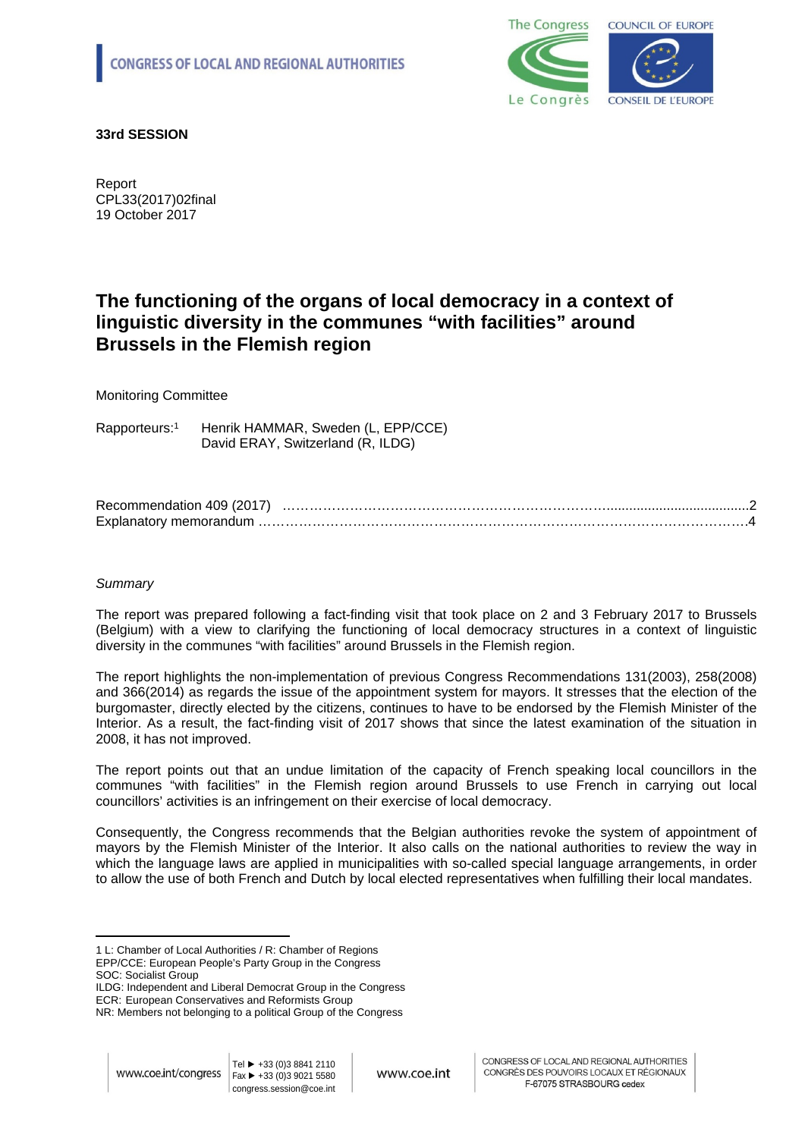

**33rd SESSION**

Report CPL33(2017)02final 19 October 2017

# **The functioning of the organs of local democracy in a context of linguistic diversity in the communes "with facilities" around Brussels in the Flemish region**

## Monitoring Committee

Rapporteurs:<sup>1</sup> Henrik HAMMAR, Sweden (L, EPP/CCE) David ERAY, Switzerland (R, ILDG)

| Recommendation 409 (2017) |  |
|---------------------------|--|
| Explanatory memorandum    |  |

## *Summary*

The report was prepared following a fact-finding visit that took place on 2 and 3 February 2017 to Brussels (Belgium) with a view to clarifying the functioning of local democracy structures in a context of linguistic diversity in the communes "with facilities" around Brussels in the Flemish region.

The report highlights the non-implementation of previous Congress Recommendations 131(2003), 258(2008) and 366(2014) as regards the issue of the appointment system for mayors. It stresses that the election of the burgomaster, directly elected by the citizens, continues to have to be endorsed by the Flemish Minister of the Interior. As a result, the fact-finding visit of 2017 shows that since the latest examination of the situation in 2008, it has not improved.

The report points out that an undue limitation of the capacity of French speaking local councillors in the communes "with facilities" in the Flemish region around Brussels to use French in carrying out local councillors' activities is an infringement on their exercise of local democracy.

Consequently, the Congress recommends that the Belgian authorities revoke the system of appointment of mayors by the Flemish Minister of the Interior. It also calls on the national authorities to review the way in which the language laws are applied in municipalities with so-called special language arrangements, in order to allow the use of both French and Dutch by local elected representatives when fulfilling their local mandates.

<span id="page-0-0"></span><sup>1</sup> L: Chamber of Local Authorities / R: Chamber of Regions EPP/CCE: European People's Party Group in the Congress SOC: Socialist Group

ILDG: Independent and Liberal Democrat Group in the Congress

ECR: European Conservatives and Reformists Group

NR: Members not belonging to a political Group of the Congress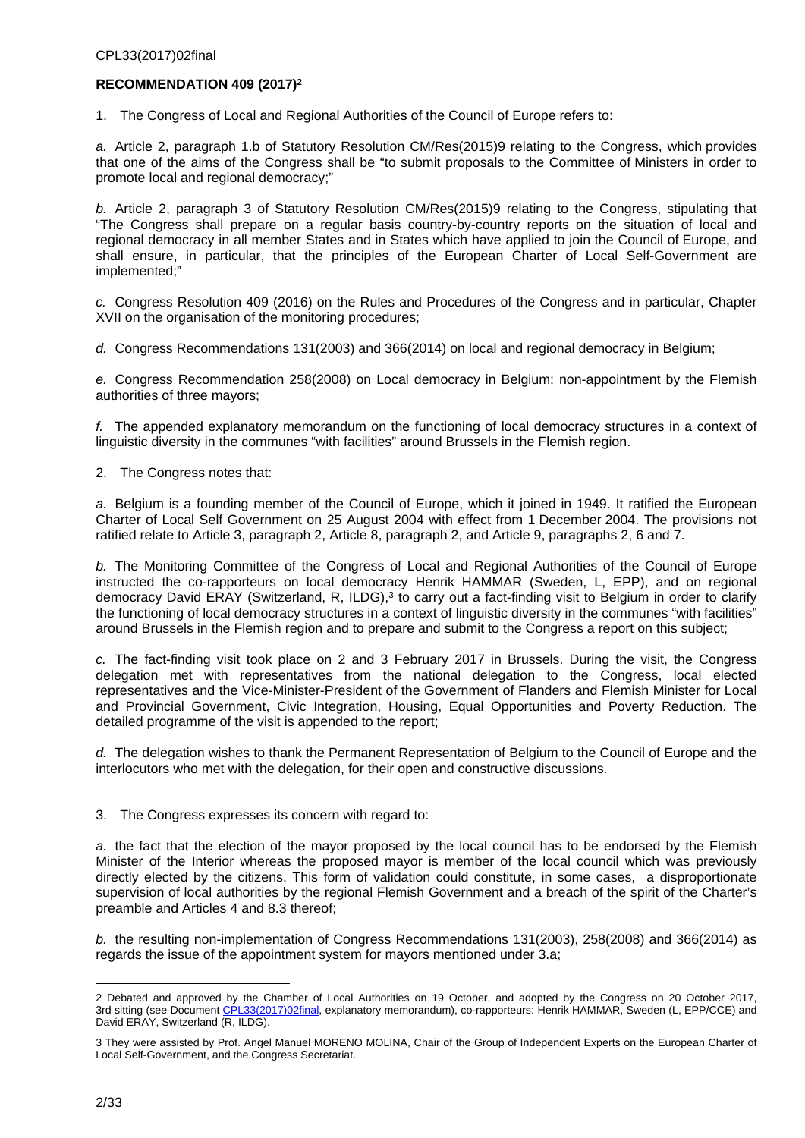## **RECOMMENDATION 409 (2017)<sup>2</sup>**

1. The Congress of Local and Regional Authorities of the Council of Europe refers to:

*a.* Article 2, paragraph 1.b of Statutory Resolution CM/Res(2015)9 relating to the Congress, which provides that one of the aims of the Congress shall be "to submit proposals to the Committee of Ministers in order to promote local and regional democracy;"

*b.* Article 2, paragraph 3 of Statutory Resolution CM/Res(2015)9 relating to the Congress, stipulating that "The Congress shall prepare on a regular basis country-by-country reports on the situation of local and regional democracy in all member States and in States which have applied to join the Council of Europe, and shall ensure, in particular, that the principles of the European Charter of Local Self-Government are implemented;"

*c.* Congress Resolution 409 (2016) on the Rules and Procedures of the Congress and in particular, Chapter XVII on the organisation of the monitoring procedures;

*d.* Congress Recommendations 131(2003) and 366(2014) on local and regional democracy in Belgium;

*e.* Congress Recommendation 258(2008) on Local democracy in Belgium: non-appointment by the Flemish authorities of three mayors;

*f.* The appended explanatory memorandum on the functioning of local democracy structures in a context of linguistic diversity in the communes "with facilities" around Brussels in the Flemish region.

2. The Congress notes that:

*a.* Belgium is a founding member of the Council of Europe, which it joined in 1949. It ratified the European Charter of Local Self Government on 25 August 2004 with effect from 1 December 2004. The provisions not ratified relate to Article 3, paragraph 2, Article 8, paragraph 2, and Article 9, paragraphs 2, 6 and 7.

*b.* The Monitoring Committee of the Congress of Local and Regional Authorities of the Council of Europe instructed the co-rapporteurs on local democracy Henrik HAMMAR (Sweden, L, EPP), and on regional democracy David ERAY (Switzerland, R, ILDG),<sup>3</sup> to carry out a fact-finding visit to Belgium in order to clarify the functioning of local democracy structures in a context of linguistic diversity in the communes "with facilities" around Brussels in the Flemish region and to prepare and submit to the Congress a report on this subject;

*c.* The fact-finding visit took place on 2 and 3 February 2017 in Brussels. During the visit, the Congress delegation met with representatives from the national delegation to the Congress, local elected representatives and the Vice-Minister-President of the Government of Flanders and Flemish Minister for Local and Provincial Government, Civic Integration, Housing, Equal Opportunities and Poverty Reduction. The detailed programme of the visit is appended to the report;

*d.* The delegation wishes to thank the Permanent Representation of Belgium to the Council of Europe and the interlocutors who met with the delegation, for their open and constructive discussions.

3. The Congress expresses its concern with regard to:

*a.* the fact that the election of the mayor proposed by the local council has to be endorsed by the Flemish Minister of the Interior whereas the proposed mayor is member of the local council which was previously directly elected by the citizens. This form of validation could constitute, in some cases, a disproportionate supervision of local authorities by the regional Flemish Government and a breach of the spirit of the Charter's preamble and Articles 4 and 8.3 thereof;

*b.* the resulting non-implementation of Congress Recommendations 131(2003), 258(2008) and 366(2014) as regards the issue of the appointment system for mayors mentioned under 3.a;

<sup>2</sup> Debated and approved by the Chamber of Local Authorities on 19 October, and adopted by the Congress on 20 October 2017, 3rd sitting (see Document [CPL33\(2017\)02final](http://rm.coe.int/the-functioning-of-the-organs-of-local-democracy-in-a-context-of-lingu/168074fccc), explanatory memorandum), co-rapporteurs: Henrik HAMMAR, Sweden (L, EPP/CCE) and David ERAY, Switzerland (R, ILDG).

<sup>3</sup> They were assisted by Prof. Angel Manuel MORENO MOLINA, Chair of the Group of Independent Experts on the European Charter of Local Self-Government, and the Congress Secretariat.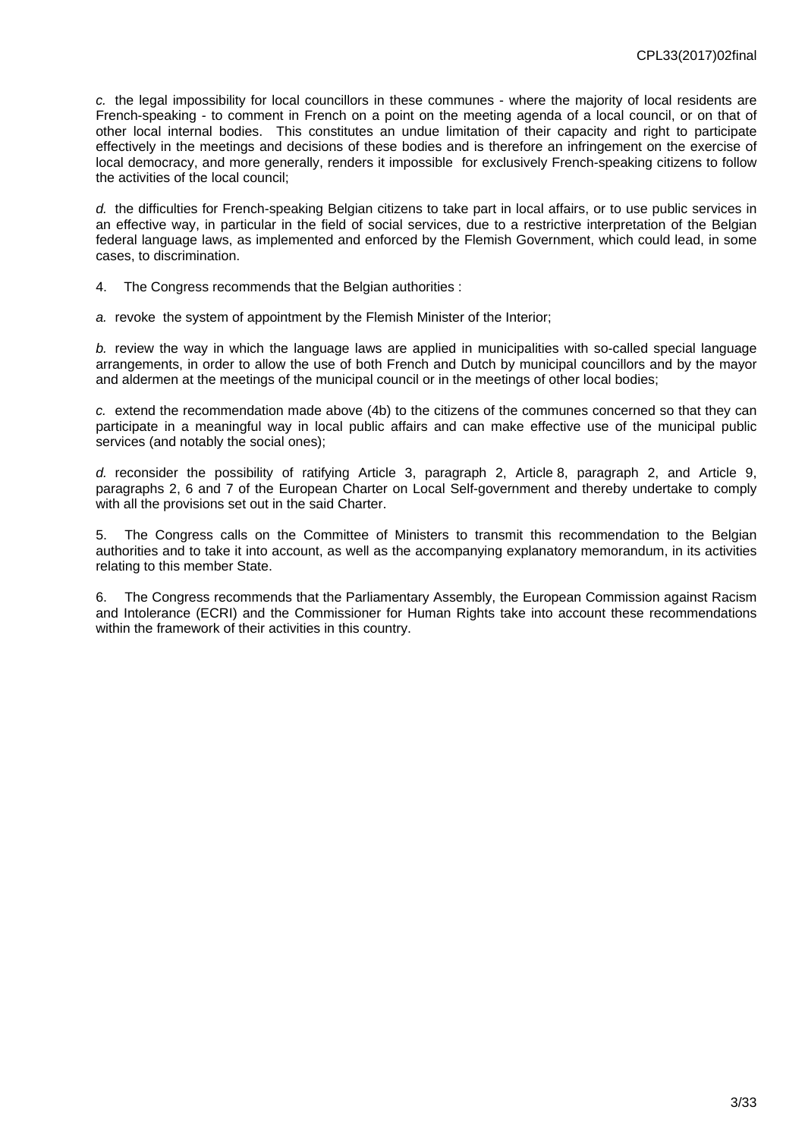*c.* the legal impossibility for local councillors in these communes - where the majority of local residents are French-speaking - to comment in French on a point on the meeting agenda of a local council, or on that of other local internal bodies. This constitutes an undue limitation of their capacity and right to participate effectively in the meetings and decisions of these bodies and is therefore an infringement on the exercise of local democracy, and more generally, renders it impossible for exclusively French-speaking citizens to follow the activities of the local council;

*d.* the difficulties for French-speaking Belgian citizens to take part in local affairs, or to use public services in an effective way, in particular in the field of social services, due to a restrictive interpretation of the Belgian federal language laws, as implemented and enforced by the Flemish Government, which could lead, in some cases, to discrimination.

4. The Congress recommends that the Belgian authorities :

*a.* revoke the system of appointment by the Flemish Minister of the Interior;

*b.* review the way in which the language laws are applied in municipalities with so-called special language arrangements, in order to allow the use of both French and Dutch by municipal councillors and by the mayor and aldermen at the meetings of the municipal council or in the meetings of other local bodies;

*c.* extend the recommendation made above (4b) to the citizens of the communes concerned so that they can participate in a meaningful way in local public affairs and can make effective use of the municipal public services (and notably the social ones);

*d.* reconsider the possibility of ratifying Article 3, paragraph 2, Article 8, paragraph 2, and Article 9, paragraphs 2, 6 and 7 of the European Charter on Local Self-government and thereby undertake to comply with all the provisions set out in the said Charter.

5. The Congress calls on the Committee of Ministers to transmit this recommendation to the Belgian authorities and to take it into account, as well as the accompanying explanatory memorandum, in its activities relating to this member State.

6. The Congress recommends that the Parliamentary Assembly, the European Commission against Racism and Intolerance (ECRI) and the Commissioner for Human Rights take into account these recommendations within the framework of their activities in this country.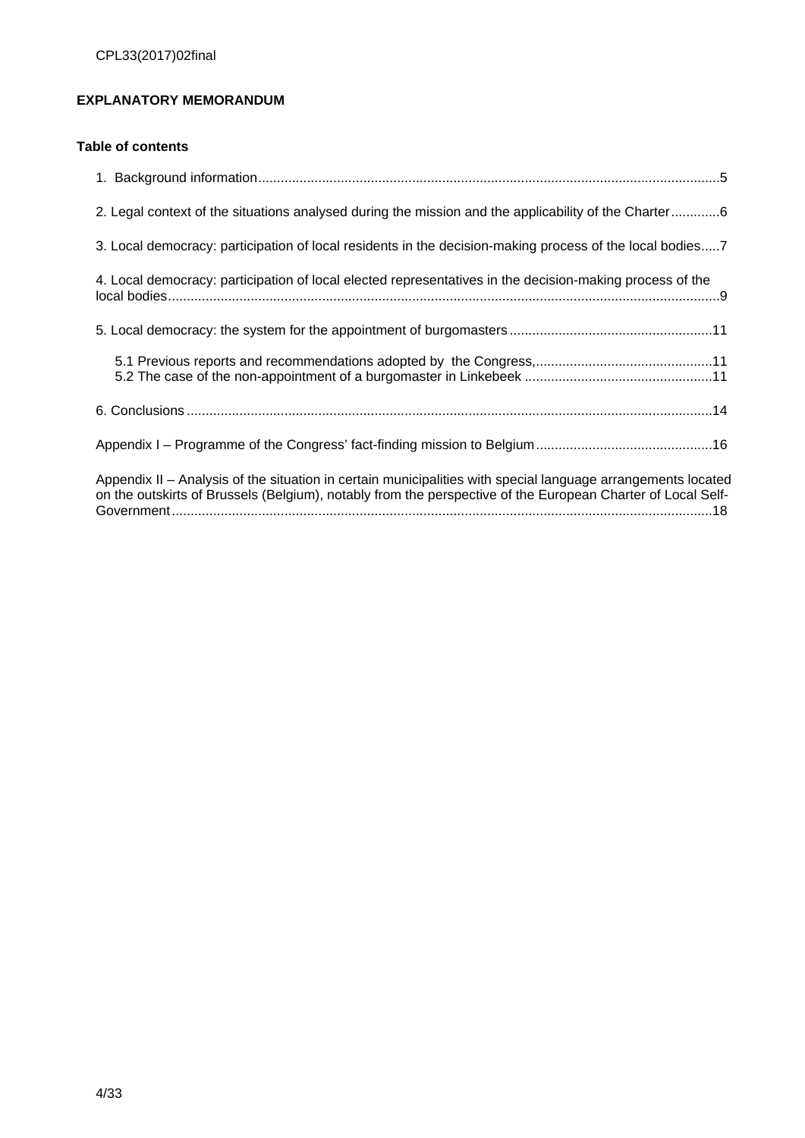## <span id="page-3-0"></span>**EXPLANATORY MEMORANDUM**

## **Table of contents**

| 2. Legal context of the situations analysed during the mission and the applicability of the Charter6                                                                                                                        |
|-----------------------------------------------------------------------------------------------------------------------------------------------------------------------------------------------------------------------------|
| 3. Local democracy: participation of local residents in the decision-making process of the local bodies7                                                                                                                    |
| 4. Local democracy: participation of local elected representatives in the decision-making process of the                                                                                                                    |
|                                                                                                                                                                                                                             |
|                                                                                                                                                                                                                             |
|                                                                                                                                                                                                                             |
|                                                                                                                                                                                                                             |
| Appendix II – Analysis of the situation in certain municipalities with special language arrangements located<br>on the outskirts of Brussels (Belgium), notably from the perspective of the European Charter of Local Self- |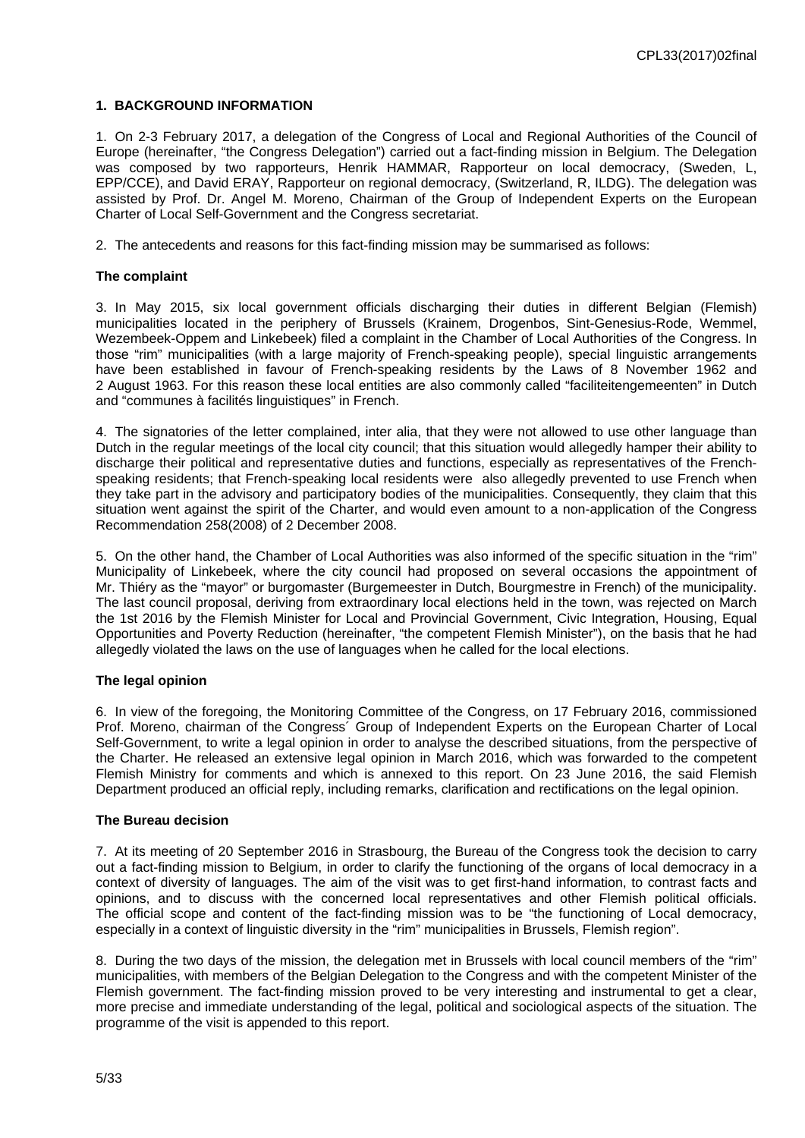## <span id="page-4-0"></span>**1. BACKGROUND INFORMATION**

1. On 2-3 February 2017, a delegation of the Congress of Local and Regional Authorities of the Council of Europe (hereinafter, "the Congress Delegation") carried out a fact-finding mission in Belgium. The Delegation was composed by two rapporteurs, Henrik HAMMAR, Rapporteur on local democracy, (Sweden, L, EPP/CCE), and David ERAY, Rapporteur on regional democracy, (Switzerland, R, ILDG). The delegation was assisted by Prof. Dr. Angel M. Moreno, Chairman of the Group of Independent Experts on the European Charter of Local Self-Government and the Congress secretariat.

2. The antecedents and reasons for this fact-finding mission may be summarised as follows:

#### **The complaint**

3. In May 2015, six local government officials discharging their duties in different Belgian (Flemish) municipalities located in the periphery of Brussels (Krainem, Drogenbos, Sint-Genesius-Rode, Wemmel, Wezembeek-Oppem and Linkebeek) filed a complaint in the Chamber of Local Authorities of the Congress. In those "rim" municipalities (with a large majority of French-speaking people), special linguistic arrangements have been established in favour of French-speaking residents by the Laws of 8 November 1962 and 2 August 1963. For this reason these local entities are also commonly called "faciliteitengemeenten" in Dutch and "communes à facilités linguistiques" in French.

4. The signatories of the letter complained, inter alia, that they were not allowed to use other language than Dutch in the regular meetings of the local city council; that this situation would allegedly hamper their ability to discharge their political and representative duties and functions, especially as representatives of the Frenchspeaking residents; that French-speaking local residents were also allegedly prevented to use French when they take part in the advisory and participatory bodies of the municipalities. Consequently, they claim that this situation went against the spirit of the Charter, and would even amount to a non-application of the Congress Recommendation 258(2008) of 2 December 2008.

5. On the other hand, the Chamber of Local Authorities was also informed of the specific situation in the "rim" Municipality of Linkebeek, where the city council had proposed on several occasions the appointment of Mr. Thiéry as the "mayor" or burgomaster (Burgemeester in Dutch, Bourgmestre in French) of the municipality. The last council proposal, deriving from extraordinary local elections held in the town, was rejected on March the 1st 2016 by the Flemish Minister for Local and Provincial Government, Civic Integration, Housing, Equal Opportunities and Poverty Reduction (hereinafter, "the competent Flemish Minister"), on the basis that he had allegedly violated the laws on the use of languages when he called for the local elections.

#### **The legal opinion**

6. In view of the foregoing, the Monitoring Committee of the Congress, on 17 February 2016, commissioned Prof. Moreno, chairman of the Congress´ Group of Independent Experts on the European Charter of Local Self-Government, to write a legal opinion in order to analyse the described situations, from the perspective of the Charter. He released an extensive legal opinion in March 2016, which was forwarded to the competent Flemish Ministry for comments and which is annexed to this report. On 23 June 2016, the said Flemish Department produced an official reply, including remarks, clarification and rectifications on the legal opinion.

#### **The Bureau decision**

7. At its meeting of 20 September 2016 in Strasbourg, the Bureau of the Congress took the decision to carry out a fact-finding mission to Belgium, in order to clarify the functioning of the organs of local democracy in a context of diversity of languages. The aim of the visit was to get first-hand information, to contrast facts and opinions, and to discuss with the concerned local representatives and other Flemish political officials. The official scope and content of the fact-finding mission was to be "the functioning of Local democracy, especially in a context of linguistic diversity in the "rim" municipalities in Brussels, Flemish region".

8. During the two days of the mission, the delegation met in Brussels with local council members of the "rim" municipalities, with members of the Belgian Delegation to the Congress and with the competent Minister of the Flemish government. The fact-finding mission proved to be very interesting and instrumental to get a clear, more precise and immediate understanding of the legal, political and sociological aspects of the situation. The programme of the visit is appended to this report.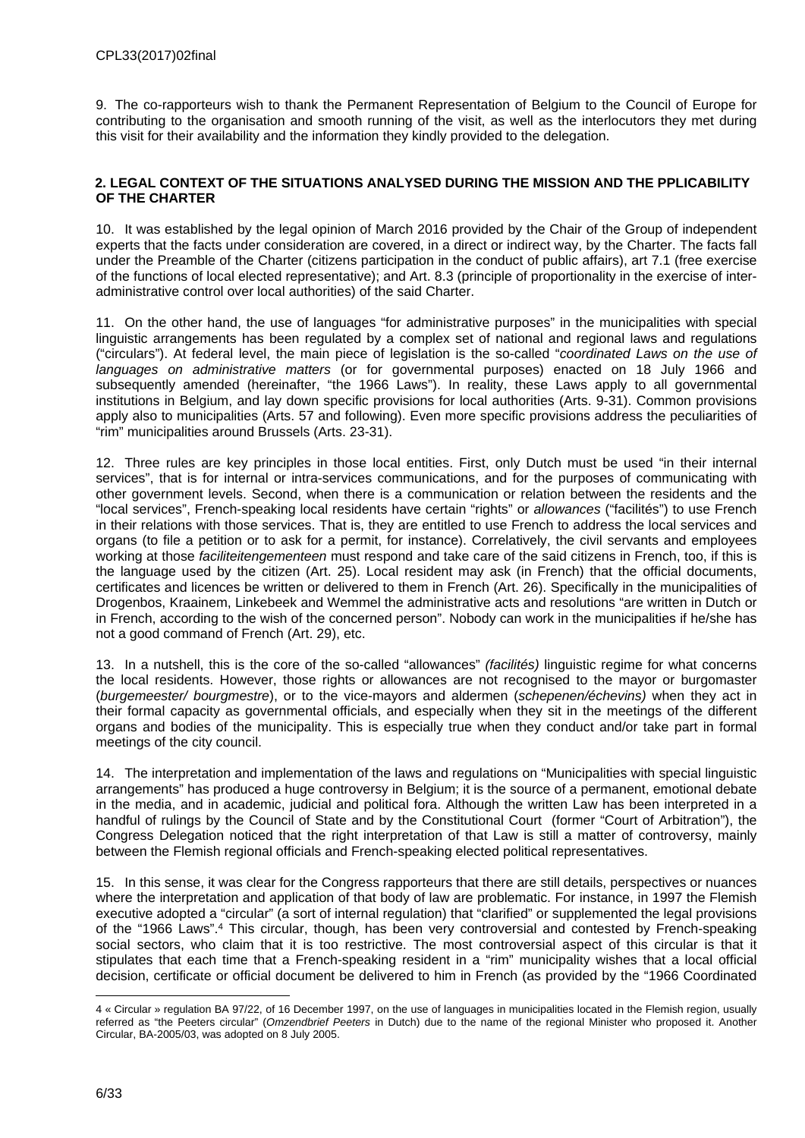9. The co-rapporteurs wish to thank the Permanent Representation of Belgium to the Council of Europe for contributing to the organisation and smooth running of the visit, as well as the interlocutors they met during this visit for their availability and the information they kindly provided to the delegation.

#### <span id="page-5-0"></span>**2. LEGAL CONTEXT OF THE SITUATIONS ANALYSED DURING THE MISSION AND THE PPLICABILITY OF THE CHARTER**

10. It was established by the legal opinion of March 2016 provided by the Chair of the Group of independent experts that the facts under consideration are covered, in a direct or indirect way, by the Charter. The facts fall under the Preamble of the Charter (citizens participation in the conduct of public affairs), art 7.1 (free exercise of the functions of local elected representative); and Art. 8.3 (principle of proportionality in the exercise of interadministrative control over local authorities) of the said Charter.

11. On the other hand, the use of languages "for administrative purposes" in the municipalities with special linguistic arrangements has been regulated by a complex set of national and regional laws and regulations ("circulars"). At federal level, the main piece of legislation is the so-called "*coordinated Laws on the use of languages on administrative matters* (or for governmental purposes) enacted on 18 July 1966 and subsequently amended (hereinafter, "the 1966 Laws"). In reality, these Laws apply to all governmental institutions in Belgium, and lay down specific provisions for local authorities (Arts. 9-31). Common provisions apply also to municipalities (Arts. 57 and following). Even more specific provisions address the peculiarities of "rim" municipalities around Brussels (Arts. 23-31).

12. Three rules are key principles in those local entities. First, only Dutch must be used "in their internal services", that is for internal or intra-services communications, and for the purposes of communicating with other government levels. Second, when there is a communication or relation between the residents and the "local services", French-speaking local residents have certain "rights" or *allowances* ("facilités") to use French in their relations with those services. That is, they are entitled to use French to address the local services and organs (to file a petition or to ask for a permit, for instance). Correlatively, the civil servants and employees working at those *faciliteitengementeen* must respond and take care of the said citizens in French, too, if this is the language used by the citizen (Art. 25). Local resident may ask (in French) that the official documents, certificates and licences be written or delivered to them in French (Art. 26). Specifically in the municipalities of Drogenbos, Kraainem, Linkebeek and Wemmel the administrative acts and resolutions "are written in Dutch or in French, according to the wish of the concerned person". Nobody can work in the municipalities if he/she has not a good command of French (Art. 29), etc.

13. In a nutshell, this is the core of the so-called "allowances" *(facilités)* linguistic regime for what concerns the local residents. However, those rights or allowances are not recognised to the mayor or burgomaster (*burgemeester/ bourgmestre*), or to the vice-mayors and aldermen (*schepenen/échevins)* when they act in their formal capacity as governmental officials, and especially when they sit in the meetings of the different organs and bodies of the municipality. This is especially true when they conduct and/or take part in formal meetings of the city council.

14. The interpretation and implementation of the laws and regulations on "Municipalities with special linguistic arrangements" has produced a huge controversy in Belgium; it is the source of a permanent, emotional debate in the media, and in academic, judicial and political fora. Although the written Law has been interpreted in a handful of rulings by the Council of State and by the Constitutional Court (former "Court of Arbitration"), the Congress Delegation noticed that the right interpretation of that Law is still a matter of controversy, mainly between the Flemish regional officials and French-speaking elected political representatives.

15. In this sense, it was clear for the Congress rapporteurs that there are still details, perspectives or nuances where the interpretation and application of that body of law are problematic. For instance, in 1997 the Flemish executive adopted a "circular" (a sort of internal regulation) that "clarified" or supplemented the legal provisions of the "1966 Laws".<sup>4</sup> This circular, though, has been very controversial and contested by French-speaking social sectors, who claim that it is too restrictive. The most controversial aspect of this circular is that it stipulates that each time that a French-speaking resident in a "rim" municipality wishes that a local official decision, certificate or official document be delivered to him in French (as provided by the "1966 Coordinated

<sup>4 «</sup> Circular » regulation BA 97/22, of 16 December 1997, on the use of languages in municipalities located in the Flemish region, usually referred as "the Peeters circular" (*Omzendbrief Peeters* in Dutch) due to the name of the regional Minister who proposed it. Another Circular, BA-2005/03, was adopted on 8 July 2005.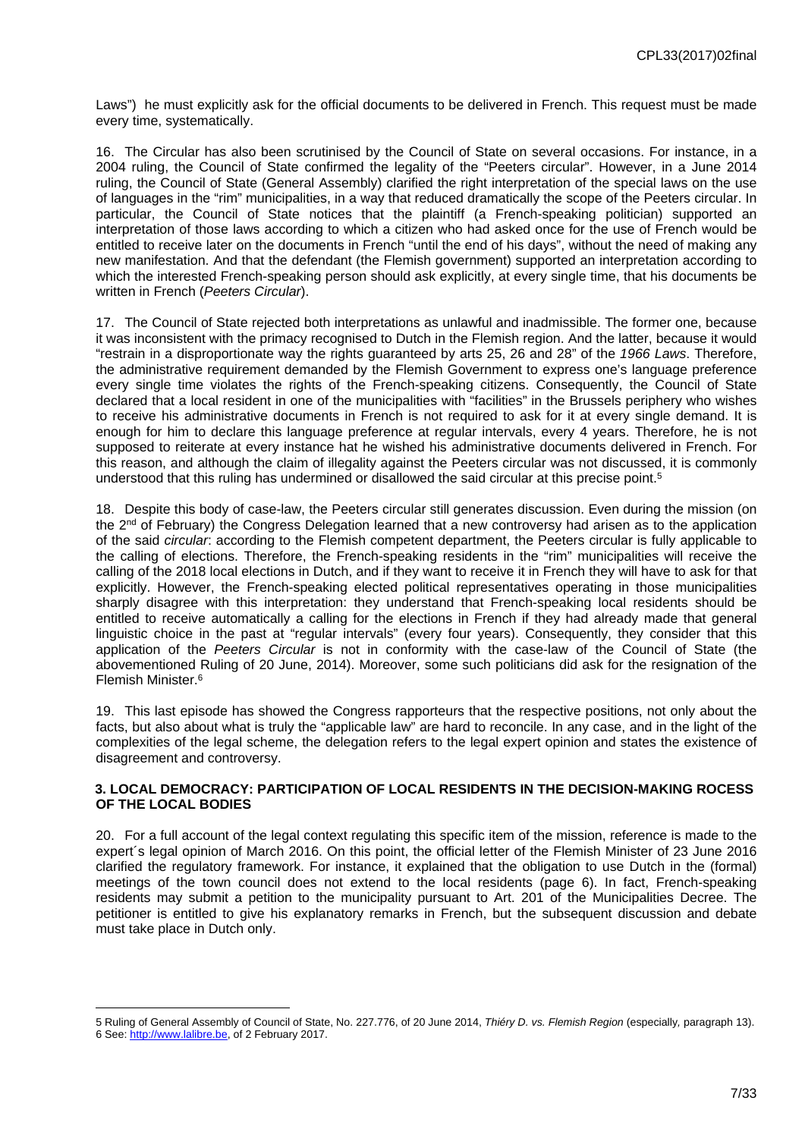Laws") he must explicitly ask for the official documents to be delivered in French. This request must be made every time, systematically.

16. The Circular has also been scrutinised by the Council of State on several occasions. For instance, in a 2004 ruling, the Council of State confirmed the legality of the "Peeters circular". However, in a June 2014 ruling, the Council of State (General Assembly) clarified the right interpretation of the special laws on the use of languages in the "rim" municipalities, in a way that reduced dramatically the scope of the Peeters circular. In particular, the Council of State notices that the plaintiff (a French-speaking politician) supported an interpretation of those laws according to which a citizen who had asked once for the use of French would be entitled to receive later on the documents in French "until the end of his days", without the need of making any new manifestation. And that the defendant (the Flemish government) supported an interpretation according to which the interested French-speaking person should ask explicitly, at every single time, that his documents be written in French (*Peeters Circular*).

17. The Council of State rejected both interpretations as unlawful and inadmissible. The former one, because it was inconsistent with the primacy recognised to Dutch in the Flemish region. And the latter, because it would "restrain in a disproportionate way the rights guaranteed by arts 25, 26 and 28" of the *1966 Laws*. Therefore, the administrative requirement demanded by the Flemish Government to express one's language preference every single time violates the rights of the French-speaking citizens. Consequently, the Council of State declared that a local resident in one of the municipalities with "facilities" in the Brussels periphery who wishes to receive his administrative documents in French is not required to ask for it at every single demand. It is enough for him to declare this language preference at regular intervals, every 4 years. Therefore, he is not supposed to reiterate at every instance hat he wished his administrative documents delivered in French. For this reason, and although the claim of illegality against the Peeters circular was not discussed, it is commonly understood that this ruling has undermined or disallowed the said circular at this precise point.<sup>5</sup>

18. Despite this body of case-law, the Peeters circular still generates discussion. Even during the mission (on the 2<sup>nd</sup> of February) the Congress Delegation learned that a new controversy had arisen as to the application of the said *circular*: according to the Flemish competent department, the Peeters circular is fully applicable to the calling of elections. Therefore, the French-speaking residents in the "rim" municipalities will receive the calling of the 2018 local elections in Dutch, and if they want to receive it in French they will have to ask for that explicitly. However, the French-speaking elected political representatives operating in those municipalities sharply disagree with this interpretation: they understand that French-speaking local residents should be entitled to receive automatically a calling for the elections in French if they had already made that general linguistic choice in the past at "regular intervals" (every four years). Consequently, they consider that this application of the *Peeters Circular* is not in conformity with the case-law of the Council of State (the abovementioned Ruling of 20 June, 2014). Moreover, some such politicians did ask for the resignation of the Flemish Minister.<sup>6</sup>

19. This last episode has showed the Congress rapporteurs that the respective positions, not only about the facts, but also about what is truly the "applicable law" are hard to reconcile. In any case, and in the light of the complexities of the legal scheme, the delegation refers to the legal expert opinion and states the existence of disagreement and controversy.

#### <span id="page-6-0"></span>**3. LOCAL DEMOCRACY: PARTICIPATION OF LOCAL RESIDENTS IN THE DECISION-MAKING ROCESS OF THE LOCAL BODIES**

20. For a full account of the legal context regulating this specific item of the mission, reference is made to the expert´s legal opinion of March 2016. On this point, the official letter of the Flemish Minister of 23 June 2016 clarified the regulatory framework. For instance, it explained that the obligation to use Dutch in the (formal) meetings of the town council does not extend to the local residents (page 6). In fact, French-speaking residents may submit a petition to the municipality pursuant to Art. 201 of the Municipalities Decree. The petitioner is entitled to give his explanatory remarks in French, but the subsequent discussion and debate must take place in Dutch only.

<sup>5</sup> Ruling of General Assembly of Council of State, No. 227.776, of 20 June 2014, *Thiéry D. vs. Flemish Region* (especially*,* paragraph 13). 6 See:<http://www.lalibre.be>, of 2 February 2017.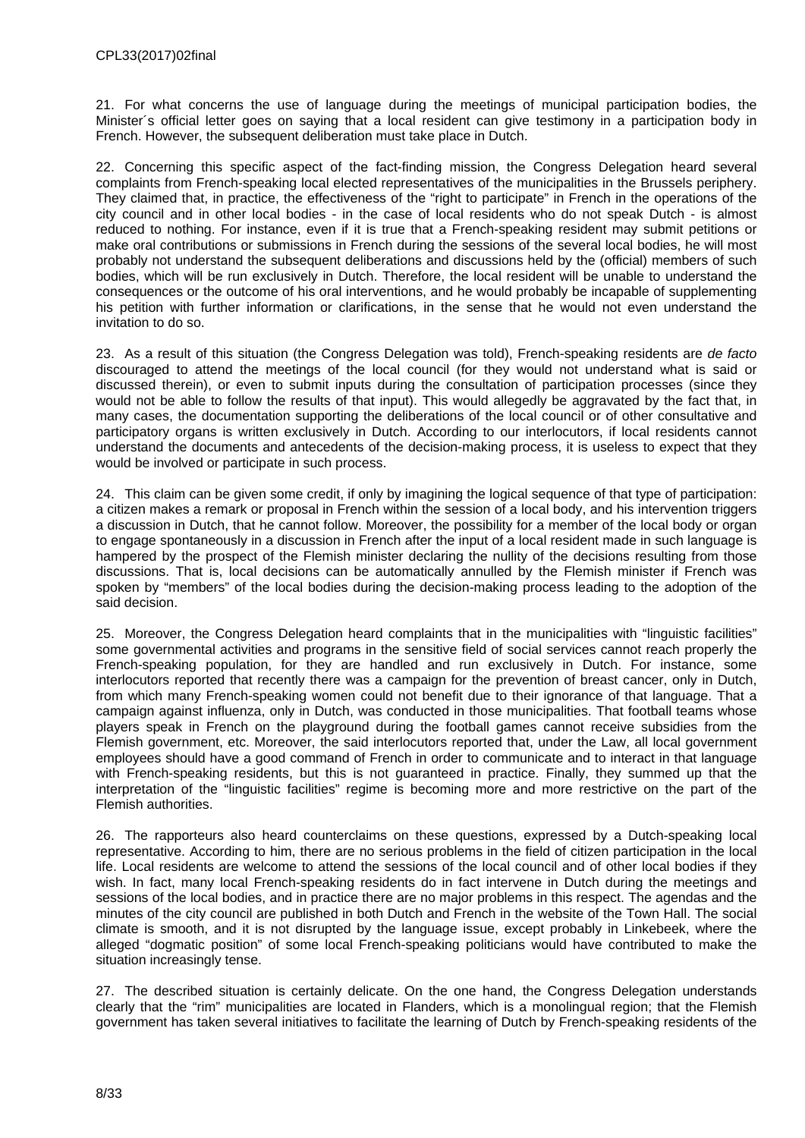21. For what concerns the use of language during the meetings of municipal participation bodies, the Minister´s official letter goes on saying that a local resident can give testimony in a participation body in French. However, the subsequent deliberation must take place in Dutch.

22. Concerning this specific aspect of the fact-finding mission, the Congress Delegation heard several complaints from French-speaking local elected representatives of the municipalities in the Brussels periphery. They claimed that, in practice, the effectiveness of the "right to participate" in French in the operations of the city council and in other local bodies - in the case of local residents who do not speak Dutch - is almost reduced to nothing. For instance, even if it is true that a French-speaking resident may submit petitions or make oral contributions or submissions in French during the sessions of the several local bodies, he will most probably not understand the subsequent deliberations and discussions held by the (official) members of such bodies, which will be run exclusively in Dutch. Therefore, the local resident will be unable to understand the consequences or the outcome of his oral interventions, and he would probably be incapable of supplementing his petition with further information or clarifications, in the sense that he would not even understand the invitation to do so.

23. As a result of this situation (the Congress Delegation was told), French-speaking residents are *de facto* discouraged to attend the meetings of the local council (for they would not understand what is said or discussed therein), or even to submit inputs during the consultation of participation processes (since they would not be able to follow the results of that input). This would allegedly be aggravated by the fact that, in many cases, the documentation supporting the deliberations of the local council or of other consultative and participatory organs is written exclusively in Dutch. According to our interlocutors, if local residents cannot understand the documents and antecedents of the decision-making process, it is useless to expect that they would be involved or participate in such process.

24. This claim can be given some credit, if only by imagining the logical sequence of that type of participation: a citizen makes a remark or proposal in French within the session of a local body, and his intervention triggers a discussion in Dutch, that he cannot follow. Moreover, the possibility for a member of the local body or organ to engage spontaneously in a discussion in French after the input of a local resident made in such language is hampered by the prospect of the Flemish minister declaring the nullity of the decisions resulting from those discussions. That is, local decisions can be automatically annulled by the Flemish minister if French was spoken by "members" of the local bodies during the decision-making process leading to the adoption of the said decision.

25. Moreover, the Congress Delegation heard complaints that in the municipalities with "linguistic facilities" some governmental activities and programs in the sensitive field of social services cannot reach properly the French-speaking population, for they are handled and run exclusively in Dutch. For instance, some interlocutors reported that recently there was a campaign for the prevention of breast cancer, only in Dutch, from which many French-speaking women could not benefit due to their ignorance of that language. That a campaign against influenza, only in Dutch, was conducted in those municipalities. That football teams whose players speak in French on the playground during the football games cannot receive subsidies from the Flemish government, etc. Moreover, the said interlocutors reported that, under the Law, all local government employees should have a good command of French in order to communicate and to interact in that language with French-speaking residents, but this is not guaranteed in practice. Finally, they summed up that the interpretation of the "linguistic facilities" regime is becoming more and more restrictive on the part of the Flemish authorities.

26. The rapporteurs also heard counterclaims on these questions, expressed by a Dutch-speaking local representative. According to him, there are no serious problems in the field of citizen participation in the local life. Local residents are welcome to attend the sessions of the local council and of other local bodies if they wish. In fact, many local French-speaking residents do in fact intervene in Dutch during the meetings and sessions of the local bodies, and in practice there are no major problems in this respect. The agendas and the minutes of the city council are published in both Dutch and French in the website of the Town Hall. The social climate is smooth, and it is not disrupted by the language issue, except probably in Linkebeek, where the alleged "dogmatic position" of some local French-speaking politicians would have contributed to make the situation increasingly tense.

27. The described situation is certainly delicate. On the one hand, the Congress Delegation understands clearly that the "rim" municipalities are located in Flanders, which is a monolingual region; that the Flemish government has taken several initiatives to facilitate the learning of Dutch by French-speaking residents of the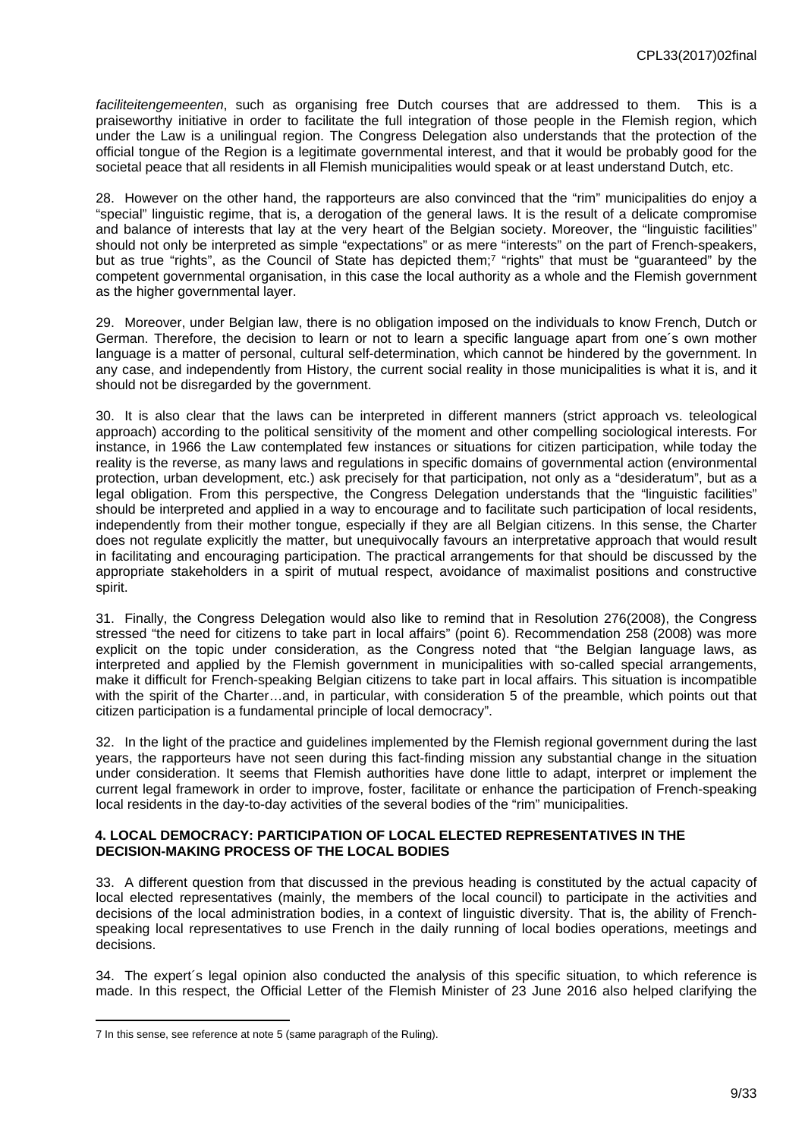*faciliteitengemeenten*, such as organising free Dutch courses that are addressed to them. This is a praiseworthy initiative in order to facilitate the full integration of those people in the Flemish region, which under the Law is a unilingual region. The Congress Delegation also understands that the protection of the official tongue of the Region is a legitimate governmental interest, and that it would be probably good for the societal peace that all residents in all Flemish municipalities would speak or at least understand Dutch, etc.

28. However on the other hand, the rapporteurs are also convinced that the "rim" municipalities do enjoy a "special" linguistic regime, that is, a derogation of the general laws. It is the result of a delicate compromise and balance of interests that lay at the very heart of the Belgian society. Moreover, the "linguistic facilities" should not only be interpreted as simple "expectations" or as mere "interests" on the part of French-speakers, but as true "rights", as the Council of State has depicted them;<sup>7</sup> "rights" that must be "guaranteed" by the competent governmental organisation, in this case the local authority as a whole and the Flemish government as the higher governmental layer.

29. Moreover, under Belgian law, there is no obligation imposed on the individuals to know French, Dutch or German. Therefore, the decision to learn or not to learn a specific language apart from one´s own mother language is a matter of personal, cultural self-determination, which cannot be hindered by the government. In any case, and independently from History, the current social reality in those municipalities is what it is, and it should not be disregarded by the government.

30. It is also clear that the laws can be interpreted in different manners (strict approach vs. teleological approach) according to the political sensitivity of the moment and other compelling sociological interests. For instance, in 1966 the Law contemplated few instances or situations for citizen participation, while today the reality is the reverse, as many laws and regulations in specific domains of governmental action (environmental protection, urban development, etc.) ask precisely for that participation, not only as a "desideratum", but as a legal obligation. From this perspective, the Congress Delegation understands that the "linguistic facilities" should be interpreted and applied in a way to encourage and to facilitate such participation of local residents, independently from their mother tongue, especially if they are all Belgian citizens. In this sense, the Charter does not regulate explicitly the matter, but unequivocally favours an interpretative approach that would result in facilitating and encouraging participation. The practical arrangements for that should be discussed by the appropriate stakeholders in a spirit of mutual respect, avoidance of maximalist positions and constructive spirit.

31. Finally, the Congress Delegation would also like to remind that in Resolution 276(2008), the Congress stressed "the need for citizens to take part in local affairs" (point 6). Recommendation 258 (2008) was more explicit on the topic under consideration, as the Congress noted that "the Belgian language laws, as interpreted and applied by the Flemish government in municipalities with so-called special arrangements, make it difficult for French-speaking Belgian citizens to take part in local affairs. This situation is incompatible with the spirit of the Charter…and, in particular, with consideration 5 of the preamble, which points out that citizen participation is a fundamental principle of local democracy".

32. In the light of the practice and guidelines implemented by the Flemish regional government during the last years, the rapporteurs have not seen during this fact-finding mission any substantial change in the situation under consideration. It seems that Flemish authorities have done little to adapt, interpret or implement the current legal framework in order to improve, foster, facilitate or enhance the participation of French-speaking local residents in the day-to-day activities of the several bodies of the "rim" municipalities.

#### <span id="page-8-0"></span>**4. LOCAL DEMOCRACY: PARTICIPATION OF LOCAL ELECTED REPRESENTATIVES IN THE DECISION-MAKING PROCESS OF THE LOCAL BODIES**

33. A different question from that discussed in the previous heading is constituted by the actual capacity of local elected representatives (mainly, the members of the local council) to participate in the activities and decisions of the local administration bodies, in a context of linguistic diversity. That is, the ability of Frenchspeaking local representatives to use French in the daily running of local bodies operations, meetings and decisions.

34. The expert´s legal opinion also conducted the analysis of this specific situation, to which reference is made. In this respect, the Official Letter of the Flemish Minister of 23 June 2016 also helped clarifying the

<sup>7</sup> In this sense, see reference at note 5 (same paragraph of the Ruling).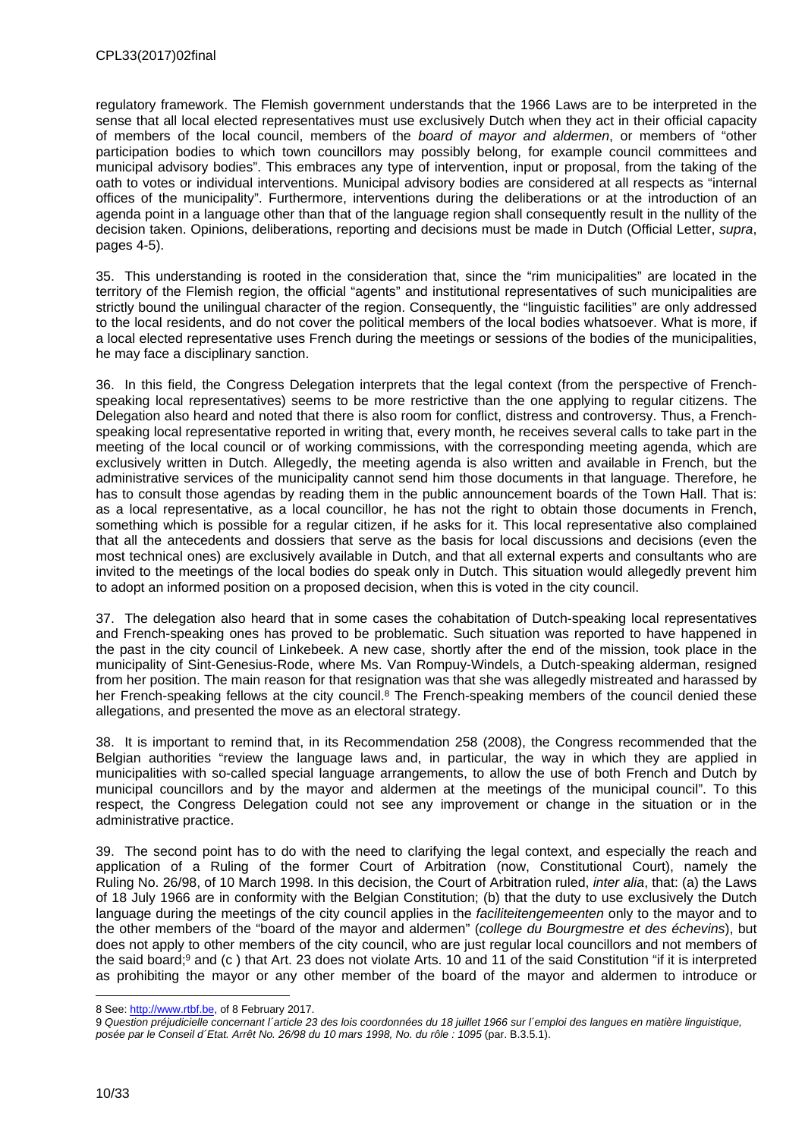regulatory framework. The Flemish government understands that the 1966 Laws are to be interpreted in the sense that all local elected representatives must use exclusively Dutch when they act in their official capacity of members of the local council, members of the *board of mayor and aldermen*, or members of "other participation bodies to which town councillors may possibly belong, for example council committees and municipal advisory bodies". This embraces any type of intervention, input or proposal, from the taking of the oath to votes or individual interventions. Municipal advisory bodies are considered at all respects as "internal offices of the municipality". Furthermore, interventions during the deliberations or at the introduction of an agenda point in a language other than that of the language region shall consequently result in the nullity of the decision taken. Opinions, deliberations, reporting and decisions must be made in Dutch (Official Letter, *supra*, pages 4-5).

35. This understanding is rooted in the consideration that, since the "rim municipalities" are located in the territory of the Flemish region, the official "agents" and institutional representatives of such municipalities are strictly bound the unilingual character of the region. Consequently, the "linguistic facilities" are only addressed to the local residents, and do not cover the political members of the local bodies whatsoever. What is more, if a local elected representative uses French during the meetings or sessions of the bodies of the municipalities, he may face a disciplinary sanction.

36. In this field, the Congress Delegation interprets that the legal context (from the perspective of Frenchspeaking local representatives) seems to be more restrictive than the one applying to regular citizens. The Delegation also heard and noted that there is also room for conflict, distress and controversy. Thus, a Frenchspeaking local representative reported in writing that, every month, he receives several calls to take part in the meeting of the local council or of working commissions, with the corresponding meeting agenda, which are exclusively written in Dutch. Allegedly, the meeting agenda is also written and available in French, but the administrative services of the municipality cannot send him those documents in that language. Therefore, he has to consult those agendas by reading them in the public announcement boards of the Town Hall. That is: as a local representative, as a local councillor, he has not the right to obtain those documents in French, something which is possible for a regular citizen, if he asks for it. This local representative also complained that all the antecedents and dossiers that serve as the basis for local discussions and decisions (even the most technical ones) are exclusively available in Dutch, and that all external experts and consultants who are invited to the meetings of the local bodies do speak only in Dutch. This situation would allegedly prevent him to adopt an informed position on a proposed decision, when this is voted in the city council.

37. The delegation also heard that in some cases the cohabitation of Dutch-speaking local representatives and French-speaking ones has proved to be problematic. Such situation was reported to have happened in the past in the city council of Linkebeek. A new case, shortly after the end of the mission, took place in the municipality of Sint-Genesius-Rode, where Ms. Van Rompuy-Windels, a Dutch-speaking alderman, resigned from her position. The main reason for that resignation was that she was allegedly mistreated and harassed by her French-speaking fellows at the city council.<sup>8</sup> The French-speaking members of the council denied these allegations, and presented the move as an electoral strategy.

38. It is important to remind that, in its Recommendation 258 (2008), the Congress recommended that the Belgian authorities "review the language laws and, in particular, the way in which they are applied in municipalities with so-called special language arrangements, to allow the use of both French and Dutch by municipal councillors and by the mayor and aldermen at the meetings of the municipal council". To this respect, the Congress Delegation could not see any improvement or change in the situation or in the administrative practice.

39. The second point has to do with the need to clarifying the legal context, and especially the reach and application of a Ruling of the former Court of Arbitration (now, Constitutional Court), namely the Ruling No. 26/98, of 10 March 1998. In this decision, the Court of Arbitration ruled, *inter alia*, that: (a) the Laws of 18 July 1966 are in conformity with the Belgian Constitution; (b) that the duty to use exclusively the Dutch language during the meetings of the city council applies in the *faciliteitengemeenten* only to the mayor and to the other members of the "board of the mayor and aldermen" (*college du Bourgmestre et des échevins*), but does not apply to other members of the city council, who are just regular local councillors and not members of the said board;<sup>9</sup> and (c) that Art. 23 does not violate Arts. 10 and 11 of the said Constitution "if it is interpreted as prohibiting the mayor or any other member of the board of the mayor and aldermen to introduce or

<sup>8</sup> See:<http://www.rtbf.be>, of 8 February 2017.

<sup>9</sup> *Question préjudicielle concernant l´article 23 des lois coordonnées du 18 juillet 1966 sur l´emploi des langues en matière linguistique, posée par le Conseil d´Etat. Arrêt No. 26/98 du 10 mars 1998, No. du rôle : 1095* (par. B.3.5.1).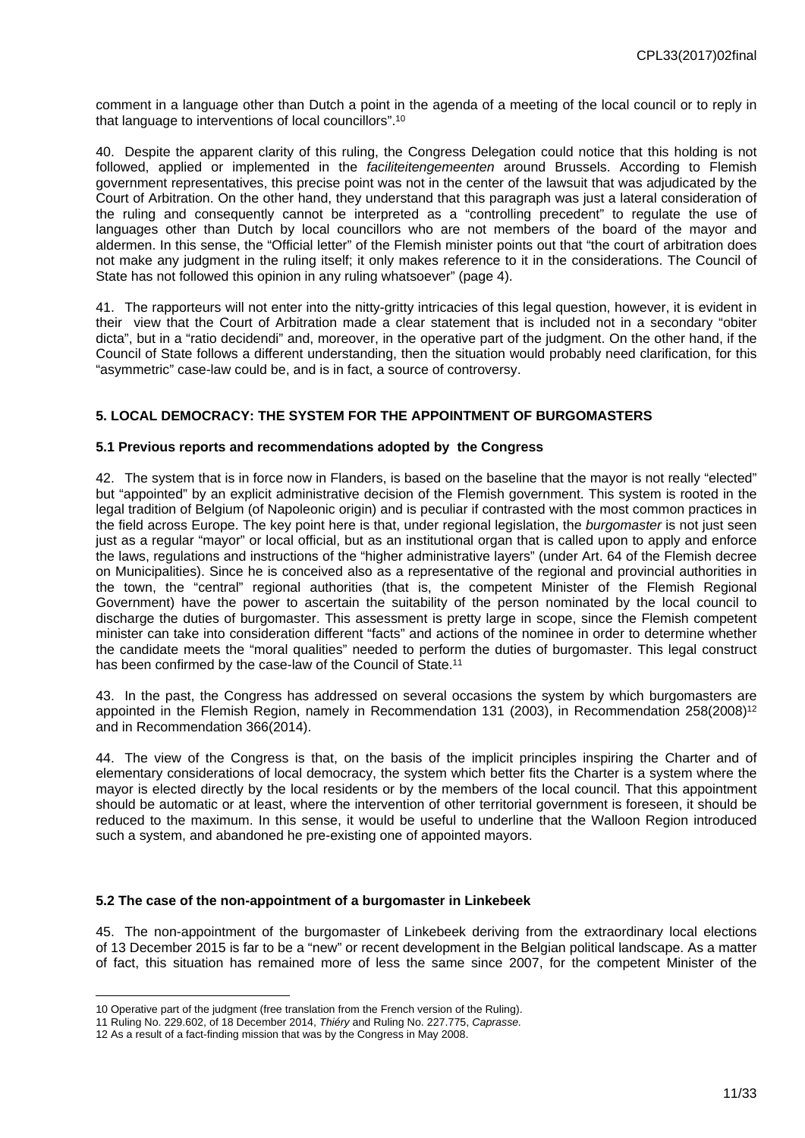comment in a language other than Dutch a point in the agenda of a meeting of the local council or to reply in that language to interventions of local councillors".<sup>10</sup>

40. Despite the apparent clarity of this ruling, the Congress Delegation could notice that this holding is not followed, applied or implemented in the *faciliteitengemeenten* around Brussels. According to Flemish government representatives, this precise point was not in the center of the lawsuit that was adjudicated by the Court of Arbitration. On the other hand, they understand that this paragraph was just a lateral consideration of the ruling and consequently cannot be interpreted as a "controlling precedent" to regulate the use of languages other than Dutch by local councillors who are not members of the board of the mayor and aldermen. In this sense, the "Official letter" of the Flemish minister points out that "the court of arbitration does not make any judgment in the ruling itself; it only makes reference to it in the considerations. The Council of State has not followed this opinion in any ruling whatsoever" (page 4).

41. The rapporteurs will not enter into the nitty-gritty intricacies of this legal question, however, it is evident in their view that the Court of Arbitration made a clear statement that is included not in a secondary "obiter dicta", but in a "ratio decidendi" and, moreover, in the operative part of the judgment. On the other hand, if the Council of State follows a different understanding, then the situation would probably need clarification, for this "asymmetric" case-law could be, and is in fact, a source of controversy.

#### <span id="page-10-0"></span>**5. LOCAL DEMOCRACY: THE SYSTEM FOR THE APPOINTMENT OF BURGOMASTERS**

#### <span id="page-10-1"></span>**5.1 Previous reports and recommendations adopted by the Congress**

42. The system that is in force now in Flanders, is based on the baseline that the mayor is not really "elected" but "appointed" by an explicit administrative decision of the Flemish government. This system is rooted in the legal tradition of Belgium (of Napoleonic origin) and is peculiar if contrasted with the most common practices in the field across Europe. The key point here is that, under regional legislation, the *burgomaster* is not just seen just as a regular "mayor" or local official, but as an institutional organ that is called upon to apply and enforce the laws, regulations and instructions of the "higher administrative layers" (under Art. 64 of the Flemish decree on Municipalities). Since he is conceived also as a representative of the regional and provincial authorities in the town, the "central" regional authorities (that is, the competent Minister of the Flemish Regional Government) have the power to ascertain the suitability of the person nominated by the local council to discharge the duties of burgomaster. This assessment is pretty large in scope, since the Flemish competent minister can take into consideration different "facts" and actions of the nominee in order to determine whether the candidate meets the "moral qualities" needed to perform the duties of burgomaster. This legal construct has been confirmed by the case-law of the Council of State.<sup>11</sup>

43. In the past, the Congress has addressed on several occasions the system by which burgomasters are appointed in the Flemish Region, namely in Recommendation 131 (2003), in Recommendation 258(2008)<sup>12</sup> and in Recommendation 366(2014).

44. The view of the Congress is that, on the basis of the implicit principles inspiring the Charter and of elementary considerations of local democracy, the system which better fits the Charter is a system where the mayor is elected directly by the local residents or by the members of the local council. That this appointment should be automatic or at least, where the intervention of other territorial government is foreseen, it should be reduced to the maximum. In this sense, it would be useful to underline that the Walloon Region introduced such a system, and abandoned he pre-existing one of appointed mayors.

#### <span id="page-10-2"></span>**5.2 The case of the non-appointment of a burgomaster in Linkebeek**

45. The non-appointment of the burgomaster of Linkebeek deriving from the extraordinary local elections of 13 December 2015 is far to be a "new" or recent development in the Belgian political landscape. As a matter of fact, this situation has remained more of less the same since 2007, for the competent Minister of the

<sup>10</sup> Operative part of the judgment (free translation from the French version of the Ruling).

<sup>11</sup> Ruling No. 229.602, of 18 December 2014, *Thiéry* and Ruling No. 227.775, *Caprasse.*

<sup>12</sup> As a result of a fact-finding mission that was by the Congress in May 2008.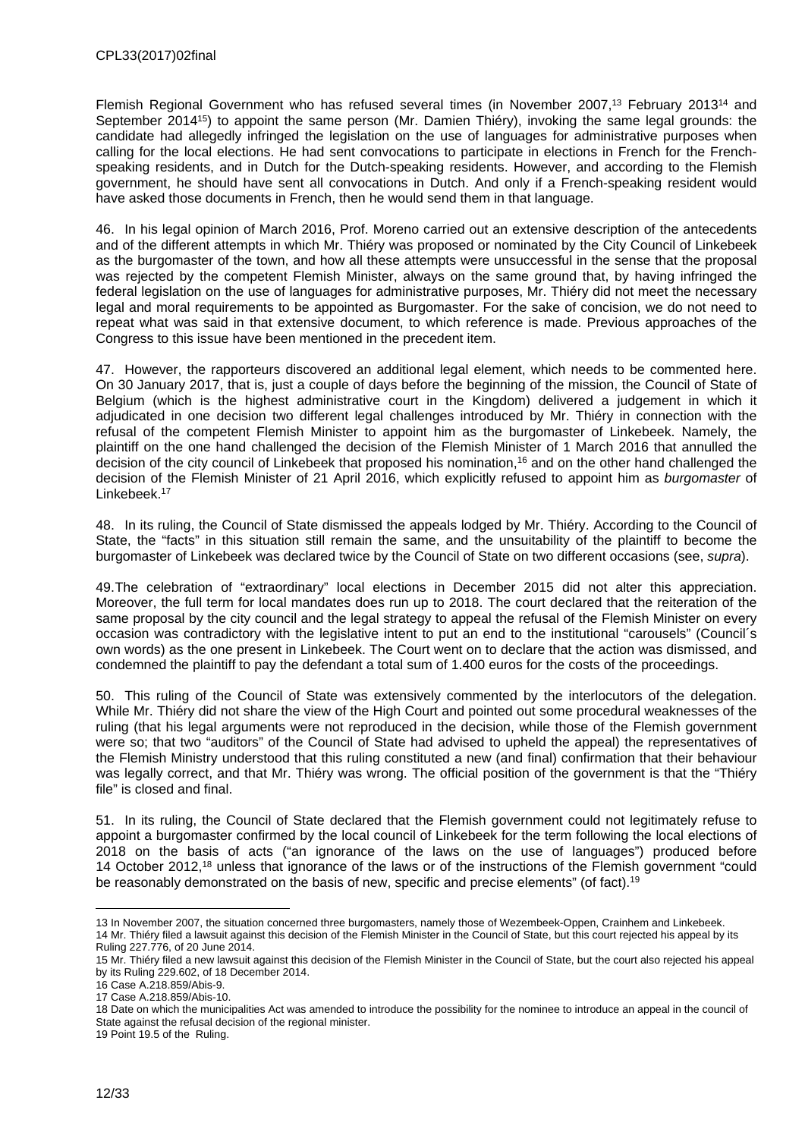Flemish Regional Government who has refused several times (in November 2007,<sup>13</sup> February 2013<sup>14</sup> and September 2014<sup>15</sup>) to appoint the same person (Mr. Damien Thiéry), invoking the same legal grounds: the candidate had allegedly infringed the legislation on the use of languages for administrative purposes when calling for the local elections. He had sent convocations to participate in elections in French for the Frenchspeaking residents, and in Dutch for the Dutch-speaking residents. However, and according to the Flemish government, he should have sent all convocations in Dutch. And only if a French-speaking resident would have asked those documents in French, then he would send them in that language.

46. In his legal opinion of March 2016, Prof. Moreno carried out an extensive description of the antecedents and of the different attempts in which Mr. Thiéry was proposed or nominated by the City Council of Linkebeek as the burgomaster of the town, and how all these attempts were unsuccessful in the sense that the proposal was rejected by the competent Flemish Minister, always on the same ground that, by having infringed the federal legislation on the use of languages for administrative purposes, Mr. Thiéry did not meet the necessary legal and moral requirements to be appointed as Burgomaster. For the sake of concision, we do not need to repeat what was said in that extensive document, to which reference is made. Previous approaches of the Congress to this issue have been mentioned in the precedent item.

47. However, the rapporteurs discovered an additional legal element, which needs to be commented here. On 30 January 2017, that is, just a couple of days before the beginning of the mission, the Council of State of Belgium (which is the highest administrative court in the Kingdom) delivered a judgement in which it adjudicated in one decision two different legal challenges introduced by Mr. Thiéry in connection with the refusal of the competent Flemish Minister to appoint him as the burgomaster of Linkebeek. Namely, the plaintiff on the one hand challenged the decision of the Flemish Minister of 1 March 2016 that annulled the decision of the city council of Linkebeek that proposed his nomination,<sup>16</sup> and on the other hand challenged the decision of the Flemish Minister of 21 April 2016, which explicitly refused to appoint him as *burgomaster* of Linkebeek.<sup>17</sup>

48. In its ruling, the Council of State dismissed the appeals lodged by Mr. Thiéry. According to the Council of State, the "facts" in this situation still remain the same, and the unsuitability of the plaintiff to become the burgomaster of Linkebeek was declared twice by the Council of State on two different occasions (see, *supra*).

49.The celebration of "extraordinary" local elections in December 2015 did not alter this appreciation. Moreover, the full term for local mandates does run up to 2018. The court declared that the reiteration of the same proposal by the city council and the legal strategy to appeal the refusal of the Flemish Minister on every occasion was contradictory with the legislative intent to put an end to the institutional "carousels" (Council´s own words) as the one present in Linkebeek. The Court went on to declare that the action was dismissed, and condemned the plaintiff to pay the defendant a total sum of 1.400 euros for the costs of the proceedings.

50. This ruling of the Council of State was extensively commented by the interlocutors of the delegation. While Mr. Thiéry did not share the view of the High Court and pointed out some procedural weaknesses of the ruling (that his legal arguments were not reproduced in the decision, while those of the Flemish government were so; that two "auditors" of the Council of State had advised to upheld the appeal) the representatives of the Flemish Ministry understood that this ruling constituted a new (and final) confirmation that their behaviour was legally correct, and that Mr. Thiéry was wrong. The official position of the government is that the "Thiéry file" is closed and final.

51. In its ruling, the Council of State declared that the Flemish government could not legitimately refuse to appoint a burgomaster confirmed by the local council of Linkebeek for the term following the local elections of 2018 on the basis of acts ("an ignorance of the laws on the use of languages") produced before 14 October 2012,<sup>18</sup> unless that ignorance of the laws or of the instructions of the Flemish government "could be reasonably demonstrated on the basis of new, specific and precise elements" (of fact).<sup>19</sup>

<sup>13</sup> In November 2007, the situation concerned three burgomasters, namely those of Wezembeek-Oppen, Crainhem and Linkebeek. 14 Mr. Thiéry filed a lawsuit against this decision of the Flemish Minister in the Council of State, but this court rejected his appeal by its Ruling 227.776, of 20 June 2014.

<sup>15</sup> Mr. Thiéry filed a new lawsuit against this decision of the Flemish Minister in the Council of State, but the court also rejected his appeal by its Ruling 229.602, of 18 December 2014.

<sup>16</sup> Case A.218.859/Abis-9.

<sup>17</sup> Case A.218.859/Abis-10.

<sup>18</sup> Date on which the municipalities Act was amended to introduce the possibility for the nominee to introduce an appeal in the council of State against the refusal decision of the regional minister.

<sup>19</sup> Point 19.5 of the Ruling.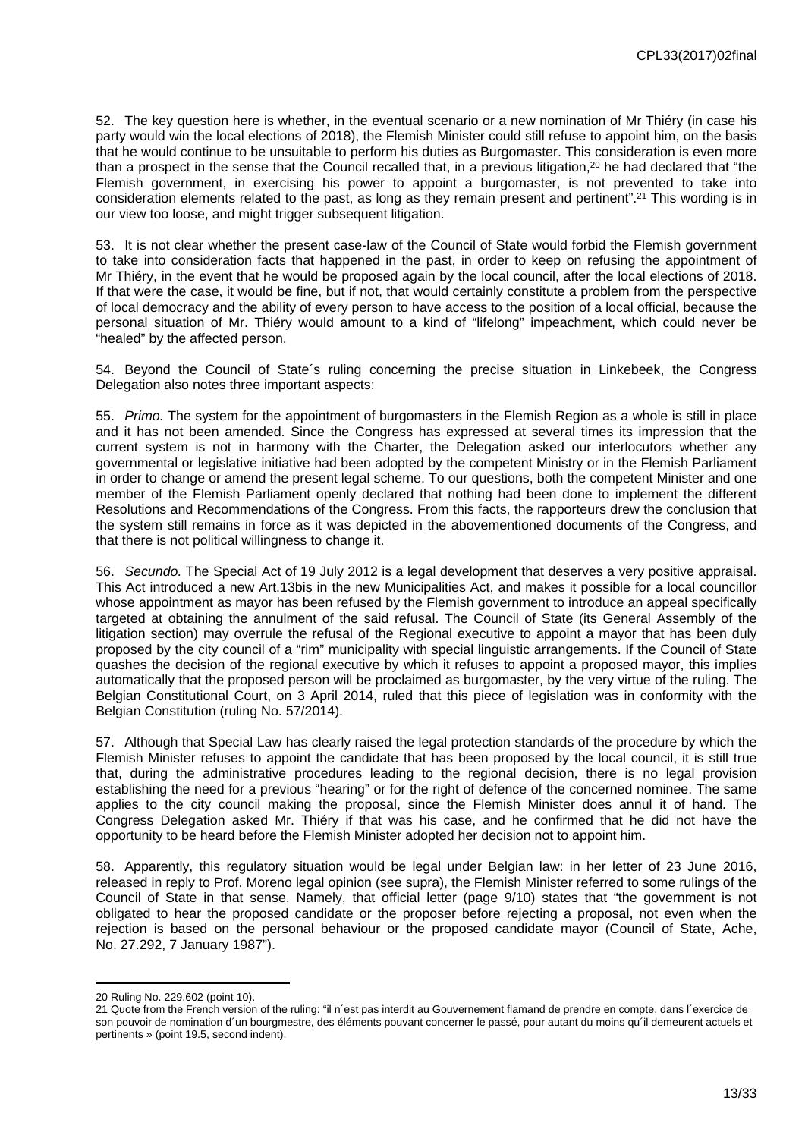52. The key question here is whether, in the eventual scenario or a new nomination of Mr Thiéry (in case his party would win the local elections of 2018), the Flemish Minister could still refuse to appoint him, on the basis that he would continue to be unsuitable to perform his duties as Burgomaster. This consideration is even more than a prospect in the sense that the Council recalled that, in a previous litigation,<sup>20</sup> he had declared that "the Flemish government, in exercising his power to appoint a burgomaster, is not prevented to take into consideration elements related to the past, as long as they remain present and pertinent".<sup>21</sup> This wording is in our view too loose, and might trigger subsequent litigation.

53. It is not clear whether the present case-law of the Council of State would forbid the Flemish government to take into consideration facts that happened in the past, in order to keep on refusing the appointment of Mr Thiéry, in the event that he would be proposed again by the local council, after the local elections of 2018. If that were the case, it would be fine, but if not, that would certainly constitute a problem from the perspective of local democracy and the ability of every person to have access to the position of a local official, because the personal situation of Mr. Thiéry would amount to a kind of "lifelong" impeachment, which could never be "healed" by the affected person.

54. Beyond the Council of State´s ruling concerning the precise situation in Linkebeek, the Congress Delegation also notes three important aspects:

55. *Primo.* The system for the appointment of burgomasters in the Flemish Region as a whole is still in place and it has not been amended. Since the Congress has expressed at several times its impression that the current system is not in harmony with the Charter, the Delegation asked our interlocutors whether any governmental or legislative initiative had been adopted by the competent Ministry or in the Flemish Parliament in order to change or amend the present legal scheme. To our questions, both the competent Minister and one member of the Flemish Parliament openly declared that nothing had been done to implement the different Resolutions and Recommendations of the Congress. From this facts, the rapporteurs drew the conclusion that the system still remains in force as it was depicted in the abovementioned documents of the Congress, and that there is not political willingness to change it.

56. *Secundo.* The Special Act of 19 July 2012 is a legal development that deserves a very positive appraisal. This Act introduced a new Art.13bis in the new Municipalities Act, and makes it possible for a local councillor whose appointment as mayor has been refused by the Flemish government to introduce an appeal specifically targeted at obtaining the annulment of the said refusal. The Council of State (its General Assembly of the litigation section) may overrule the refusal of the Regional executive to appoint a mayor that has been duly proposed by the city council of a "rim" municipality with special linguistic arrangements. If the Council of State quashes the decision of the regional executive by which it refuses to appoint a proposed mayor, this implies automatically that the proposed person will be proclaimed as burgomaster, by the very virtue of the ruling. The Belgian Constitutional Court, on 3 April 2014, ruled that this piece of legislation was in conformity with the Belgian Constitution (ruling No. 57/2014).

57. Although that Special Law has clearly raised the legal protection standards of the procedure by which the Flemish Minister refuses to appoint the candidate that has been proposed by the local council, it is still true that, during the administrative procedures leading to the regional decision, there is no legal provision establishing the need for a previous "hearing" or for the right of defence of the concerned nominee. The same applies to the city council making the proposal, since the Flemish Minister does annul it of hand. The Congress Delegation asked Mr. Thiéry if that was his case, and he confirmed that he did not have the opportunity to be heard before the Flemish Minister adopted her decision not to appoint him.

58. Apparently, this regulatory situation would be legal under Belgian law: in her letter of 23 June 2016, released in reply to Prof. Moreno legal opinion (see supra), the Flemish Minister referred to some rulings of the Council of State in that sense. Namely, that official letter (page 9/10) states that "the government is not obligated to hear the proposed candidate or the proposer before rejecting a proposal, not even when the rejection is based on the personal behaviour or the proposed candidate mayor (Council of State, Ache, No. 27.292, 7 January 1987").

<sup>20</sup> Ruling No. 229.602 (point 10).

<sup>21</sup> Quote from the French version of the ruling: "il n´est pas interdit au Gouvernement flamand de prendre en compte, dans l´exercice de son pouvoir de nomination d'un bourgmestre, des éléments pouvant concerner le passé, pour autant du moins qu'il demeurent actuels et pertinents » (point 19.5, second indent).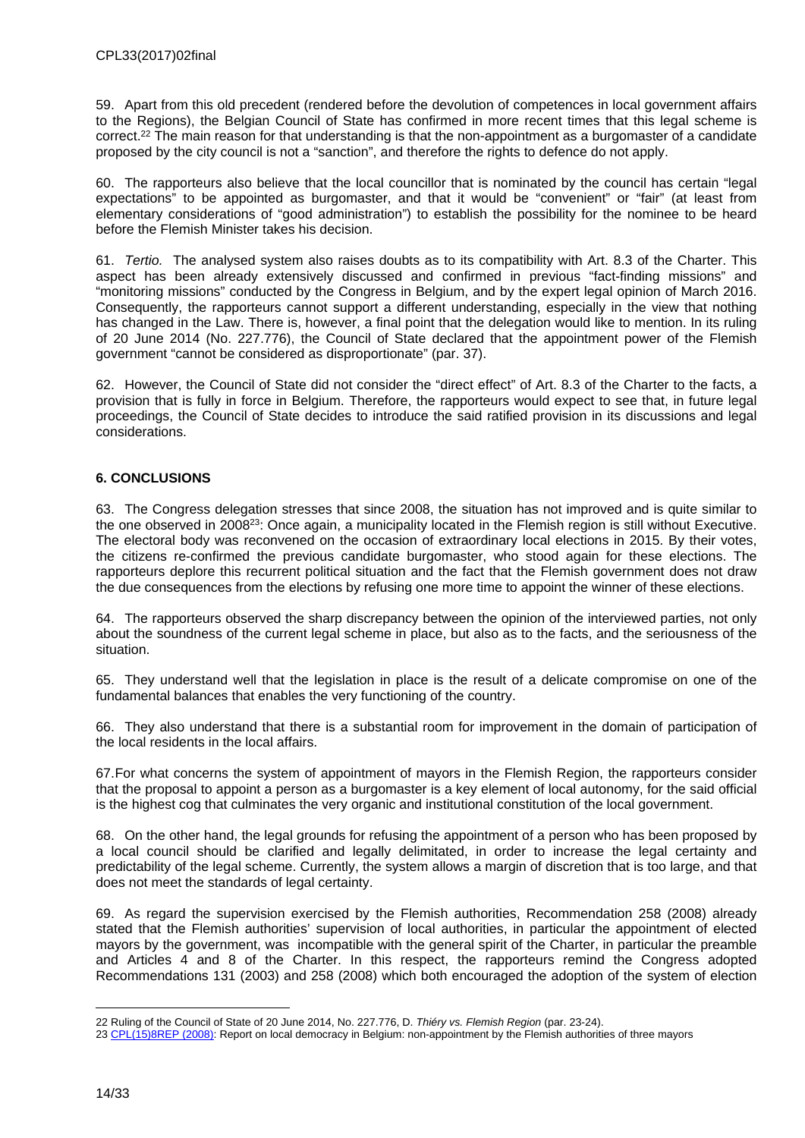59. Apart from this old precedent (rendered before the devolution of competences in local government affairs to the Regions), the Belgian Council of State has confirmed in more recent times that this legal scheme is correct.<sup>22</sup> The main reason for that understanding is that the non-appointment as a burgomaster of a candidate proposed by the city council is not a "sanction", and therefore the rights to defence do not apply.

60. The rapporteurs also believe that the local councillor that is nominated by the council has certain "legal expectations" to be appointed as burgomaster, and that it would be "convenient" or "fair" (at least from elementary considerations of "good administration") to establish the possibility for the nominee to be heard before the Flemish Minister takes his decision.

61. *Tertio.* The analysed system also raises doubts as to its compatibility with Art. 8.3 of the Charter. This aspect has been already extensively discussed and confirmed in previous "fact-finding missions" and "monitoring missions" conducted by the Congress in Belgium, and by the expert legal opinion of March 2016. Consequently, the rapporteurs cannot support a different understanding, especially in the view that nothing has changed in the Law. There is, however, a final point that the delegation would like to mention. In its ruling of 20 June 2014 (No. 227.776), the Council of State declared that the appointment power of the Flemish government "cannot be considered as disproportionate" (par. 37).

62. However, the Council of State did not consider the "direct effect" of Art. 8.3 of the Charter to the facts, a provision that is fully in force in Belgium. Therefore, the rapporteurs would expect to see that, in future legal proceedings, the Council of State decides to introduce the said ratified provision in its discussions and legal considerations.

## <span id="page-13-0"></span>**6. CONCLUSIONS**

63. The Congress delegation stresses that since 2008, the situation has not improved and is quite similar to the one observed in 2008<sup>23</sup>: Once again, a municipality located in the Flemish region is still without Executive. The electoral body was reconvened on the occasion of extraordinary local elections in 2015. By their votes, the citizens re-confirmed the previous candidate burgomaster, who stood again for these elections. The rapporteurs deplore this recurrent political situation and the fact that the Flemish government does not draw the due consequences from the elections by refusing one more time to appoint the winner of these elections.

64. The rapporteurs observed the sharp discrepancy between the opinion of the interviewed parties, not only about the soundness of the current legal scheme in place, but also as to the facts, and the seriousness of the situation.

65. They understand well that the legislation in place is the result of a delicate compromise on one of the fundamental balances that enables the very functioning of the country.

66. They also understand that there is a substantial room for improvement in the domain of participation of the local residents in the local affairs.

67.For what concerns the system of appointment of mayors in the Flemish Region, the rapporteurs consider that the proposal to appoint a person as a burgomaster is a key element of local autonomy, for the said official is the highest cog that culminates the very organic and institutional constitution of the local government.

68. On the other hand, the legal grounds for refusing the appointment of a person who has been proposed by a local council should be clarified and legally delimitated, in order to increase the legal certainty and predictability of the legal scheme. Currently, the system allows a margin of discretion that is too large, and that does not meet the standards of legal certainty.

69. As regard the supervision exercised by the Flemish authorities, Recommendation 258 (2008) already stated that the Flemish authorities' supervision of local authorities, in particular the appointment of elected mayors by the government, was incompatible with the general spirit of the Charter, in particular the preamble and Articles 4 and 8 of the Charter. In this respect, the rapporteurs remind the Congress adopted Recommendations 131 (2003) and 258 (2008) which both encouraged the adoption of the system of election

<sup>22</sup> Ruling of the Council of State of 20 June 2014, No. 227.776, D. *Thiéry vs. Flemish Region* (par. 23-24).

<sup>23</sup> [CPL\(15\)8REP \(2008\)](https://wcd.coe.int/ViewDoc.jsp?p=&Ref=CPL(15)8REP&Language=lanEnglish&Ver=original&Site=Congress&BackColorInternet=C3C3C3&BackColorIntranet=CACC9A&BackColorLogged=EFEA9C&direct=true): Report on local democracy in Belgium: non-appointment by the Flemish authorities of three mayors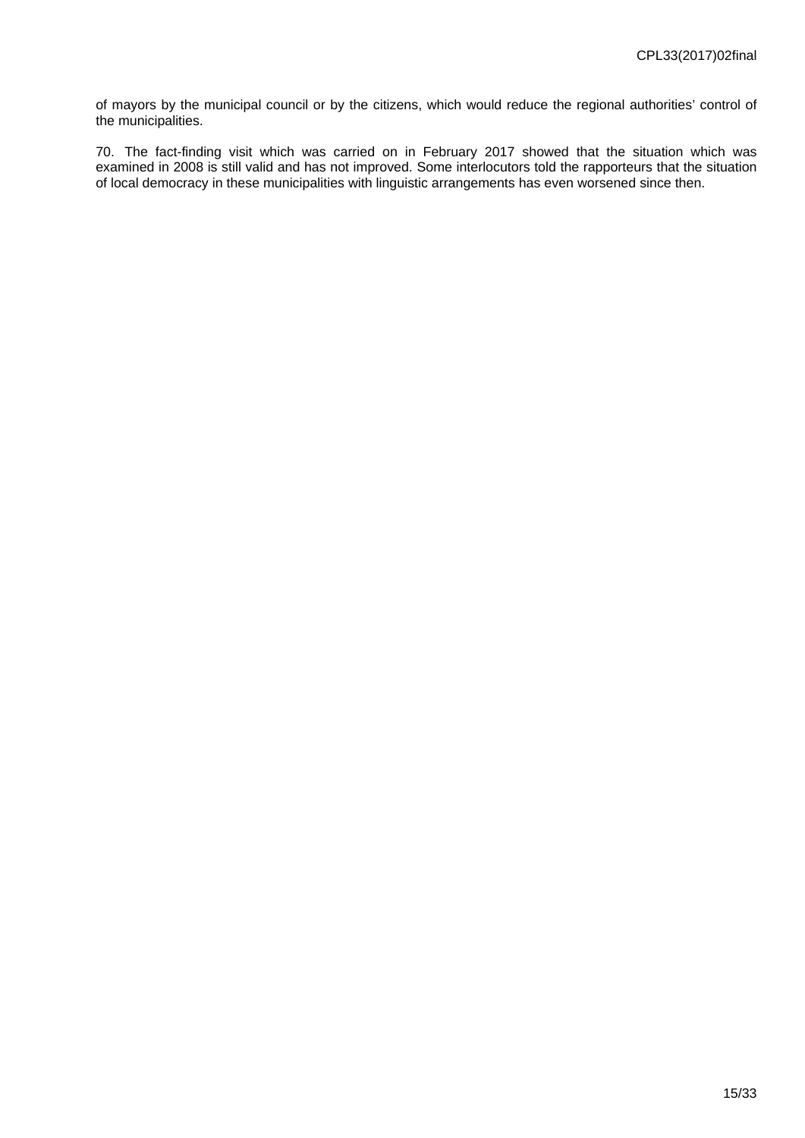of mayors by the municipal council or by the citizens, which would reduce the regional authorities' control of the municipalities.

70. The fact-finding visit which was carried on in February 2017 showed that the situation which was examined in 2008 is still valid and has not improved. Some interlocutors told the rapporteurs that the situation of local democracy in these municipalities with linguistic arrangements has even worsened since then.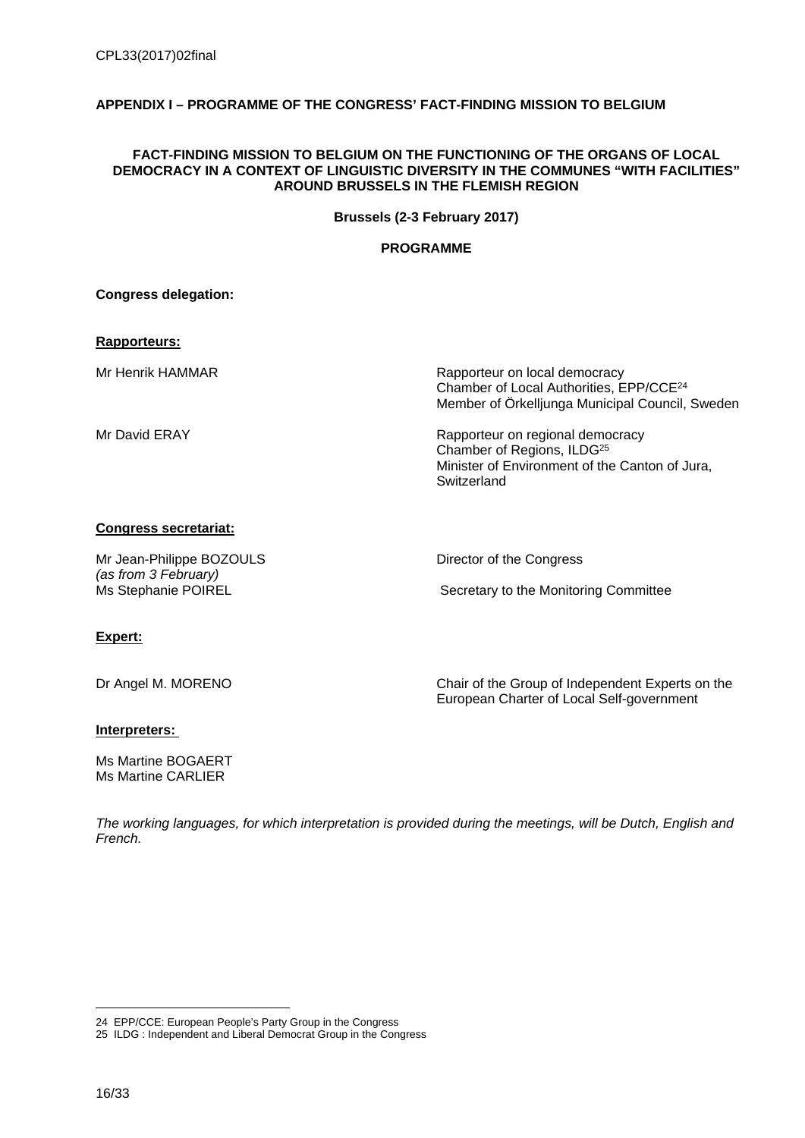## <span id="page-15-0"></span>**APPENDIX I – PROGRAMME OF THE CONGRESS' FACT-FINDING MISSION TO BELGIUM**

#### **FACT-FINDING MISSION TO BELGIUM ON THE FUNCTIONING OF THE ORGANS OF LOCAL DEMOCRACY IN A CONTEXT OF LINGUISTIC DIVERSITY IN THE COMMUNES "WITH FACILITIES" AROUND BRUSSELS IN THE FLEMISH REGION**

**Brussels (2-3 February 2017)**

## **PROGRAMME**

**Congress delegation:**

## **Rapporteurs:**

Mr Henrik HAMMAR **Rapporteur on local democracy** Chamber of Local Authorities, EPP/CCE<sup>24</sup> Member of Örkelljunga Municipal Council, Sweden

Mr David ERAY **Rapporteur on regional democracy** Chamber of Regions, ILDG<sup>25</sup> Minister of Environment of the Canton of Jura, **Switzerland** 

#### **Congress secretariat:**

Mr Jean-Philippe BOZOULS Director of the Congress *(as from 3 February)*

Secretary to the Monitoring Committee

## **Expert:**

Dr Angel M. MORENO Chair of the Group of Independent Experts on the European Charter of Local Self-government

## **Interpreters:**

Ms Martine BOGAERT Ms Martine CARLIER

*The working languages, for which interpretation is provided during the meetings, will be Dutch, English and French.*

<sup>24</sup> EPP/CCE: European People's Party Group in the Congress

<sup>25</sup> ILDG : Independent and Liberal Democrat Group in the Congress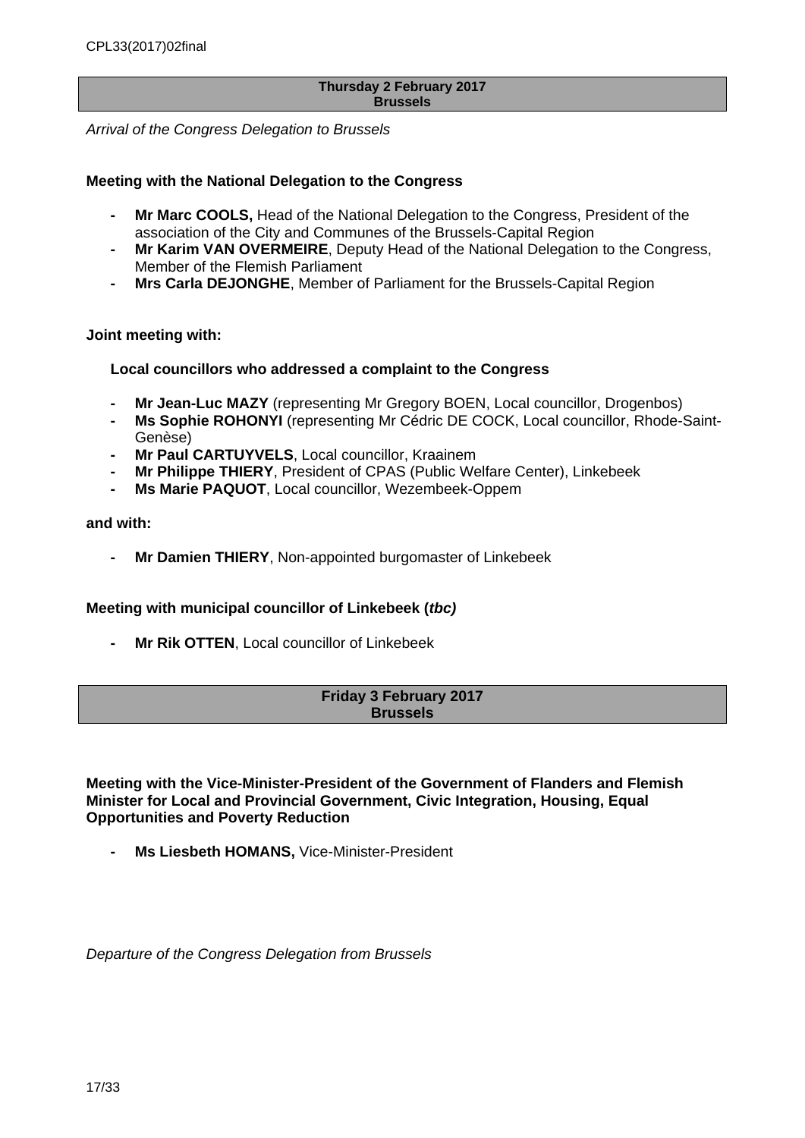#### **Thursday 2 February 2017 Brussels**

*Arrival of the Congress Delegation to Brussels*

## **Meeting with the National Delegation to the Congress**

- **Mr Marc COOLS,** Head of the National Delegation to the Congress, President of the association of the City and Communes of the Brussels-Capital Region
- **Mr Karim VAN OVERMEIRE**, Deputy Head of the National Delegation to the Congress, Member of the Flemish Parliament
- **Mrs Carla DEJONGHE**, Member of Parliament for the Brussels-Capital Region

## **Joint meeting with:**

## **Local councillors who addressed a complaint to the Congress**

- **Mr Jean-Luc MAZY** (representing Mr Gregory BOEN, Local councillor, Drogenbos)
- **Ms Sophie ROHONYI** (representing Mr Cédric DE COCK, Local councillor, Rhode-Saint-Genèse)
- **Mr Paul CARTUYVELS**, Local councillor, Kraainem
- **Mr Philippe THIERY**, President of CPAS (Public Welfare Center), Linkebeek
- **Ms Marie PAQUOT, Local councillor, Wezembeek-Oppem**

#### **and with:**

**- Mr Damien THIERY**, Non-appointed burgomaster of Linkebeek

## **Meeting with municipal councillor of Linkebeek (***tbc)*

**- Mr Rik OTTEN**, Local councillor of Linkebeek

## **Friday 3 February 2017 Brussels**

**Meeting with the Vice-Minister-President of the Government of Flanders and Flemish Minister for Local and Provincial Government, Civic Integration, Housing, Equal Opportunities and Poverty Reduction**

**Ms Liesbeth HOMANS, Vice-Minister-President** 

*Departure of the Congress Delegation from Brussels*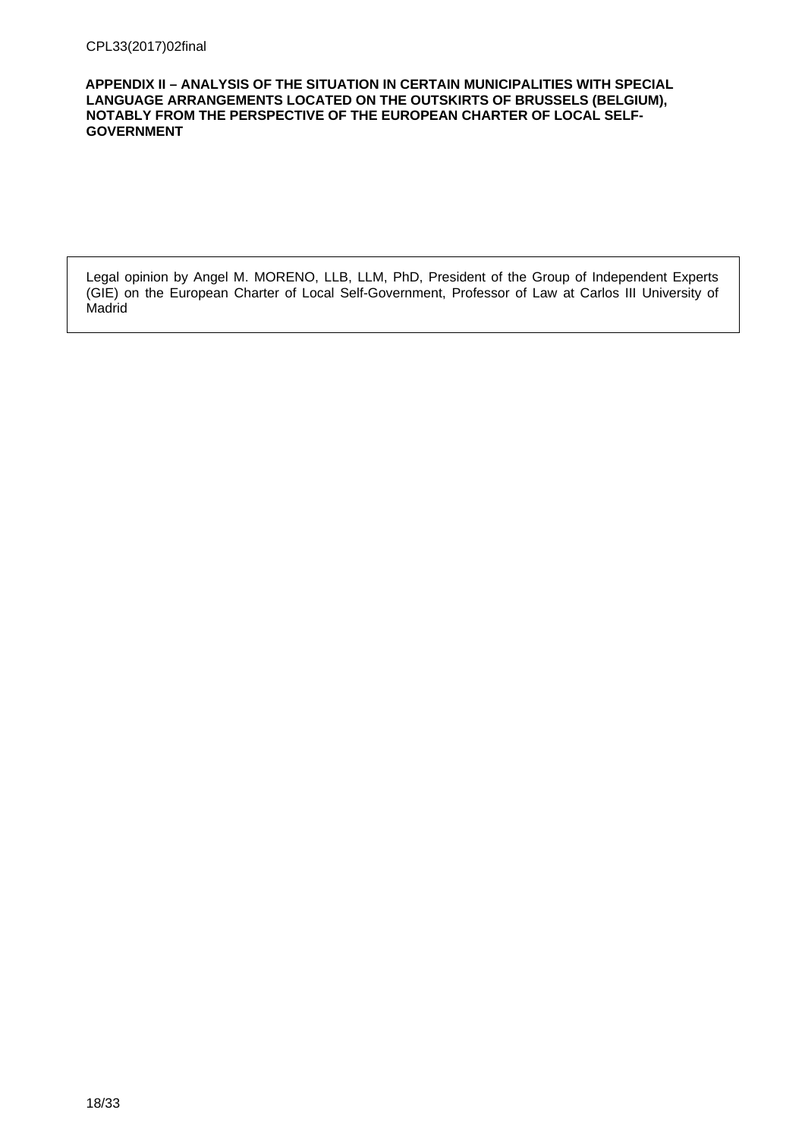<span id="page-17-0"></span>**APPENDIX II – ANALYSIS OF THE SITUATION IN CERTAIN MUNICIPALITIES WITH SPECIAL LANGUAGE ARRANGEMENTS LOCATED ON THE OUTSKIRTS OF BRUSSELS (BELGIUM), NOTABLY FROM THE PERSPECTIVE OF THE EUROPEAN CHARTER OF LOCAL SELF-GOVERNMENT**

Legal opinion by Angel M. MORENO, LLB, LLM, PhD, President of the Group of Independent Experts (GIE) on the European Charter of Local Self-Government, Professor of Law at Carlos III University of **Madrid**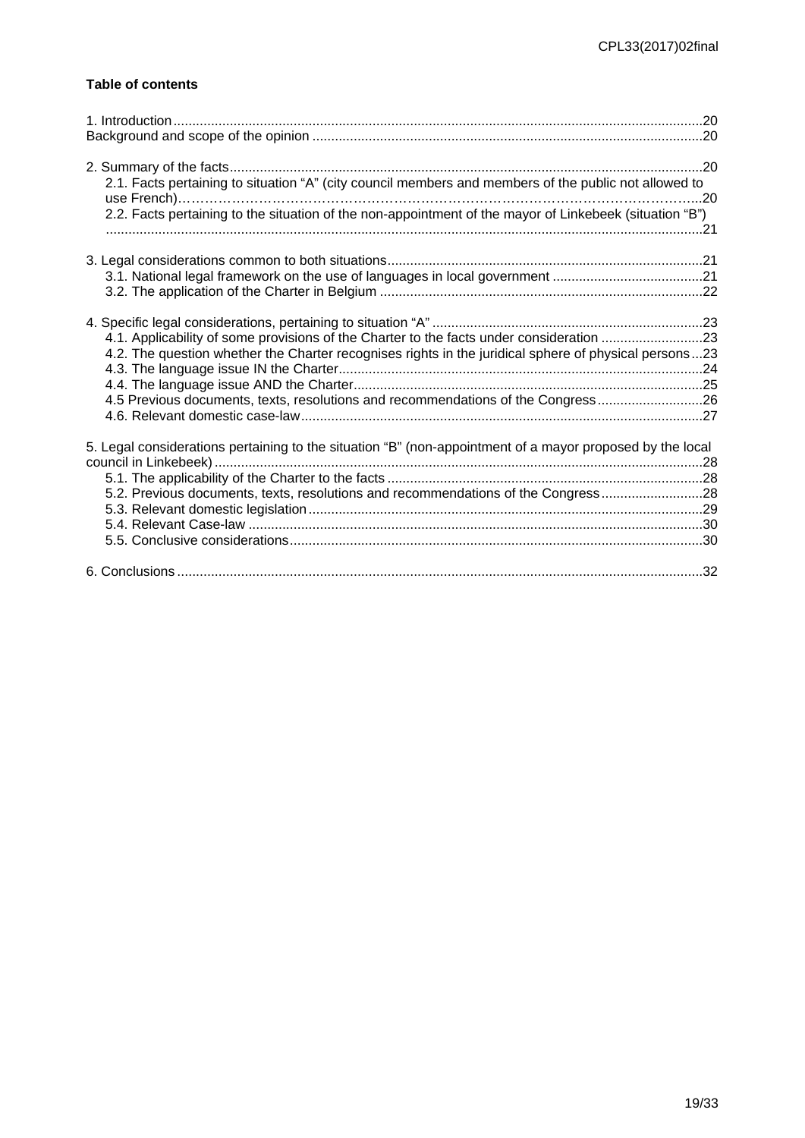## **Table of contents**

| 2.1. Facts pertaining to situation "A" (city council members and members of the public not allowed to<br>2.2. Facts pertaining to the situation of the non-appointment of the mayor of Linkebeek (situation "B")                                                                      |  |
|---------------------------------------------------------------------------------------------------------------------------------------------------------------------------------------------------------------------------------------------------------------------------------------|--|
|                                                                                                                                                                                                                                                                                       |  |
| 4.1. Applicability of some provisions of the Charter to the facts under consideration 23<br>4.2. The question whether the Charter recognises rights in the juridical sphere of physical persons23<br>4.5 Previous documents, texts, resolutions and recommendations of the Congress26 |  |
| 5. Legal considerations pertaining to the situation "B" (non-appointment of a mayor proposed by the local<br>5.2. Previous documents, texts, resolutions and recommendations of the Congress28                                                                                        |  |
|                                                                                                                                                                                                                                                                                       |  |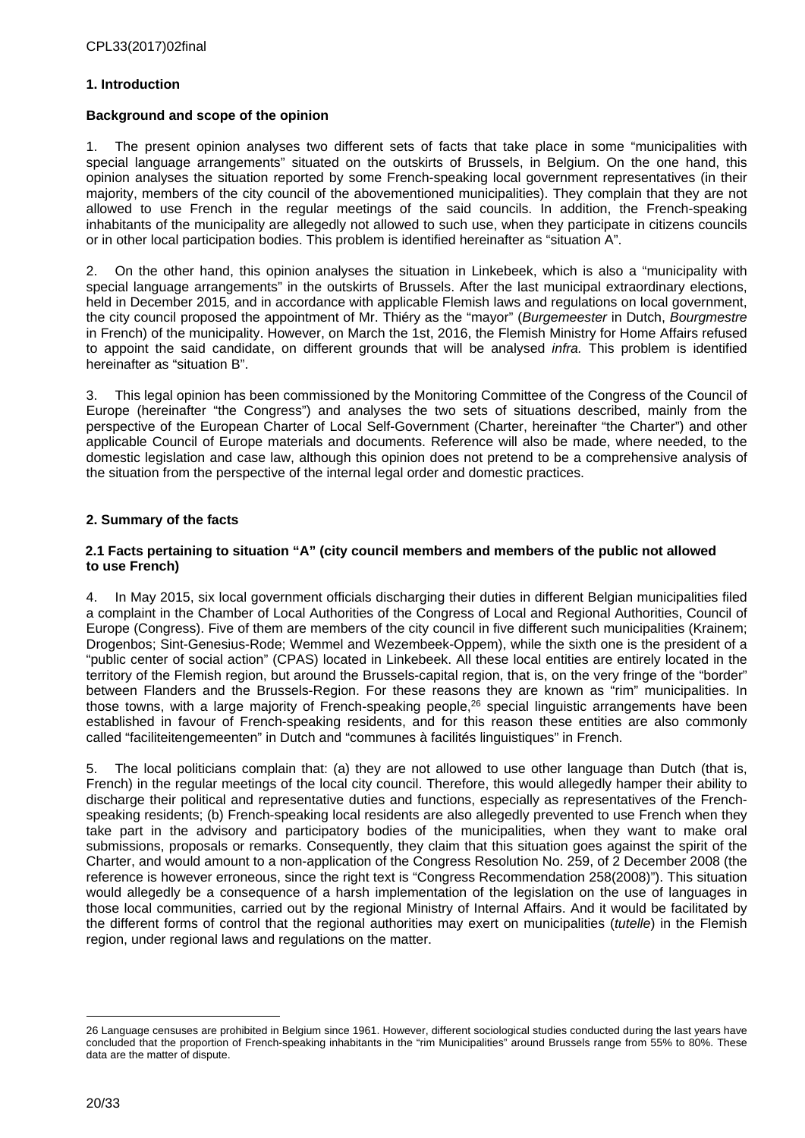## <span id="page-19-0"></span>**1. Introduction**

## <span id="page-19-1"></span>**Background and scope of the opinion**

1. The present opinion analyses two different sets of facts that take place in some "municipalities with special language arrangements" situated on the outskirts of Brussels, in Belgium. On the one hand, this opinion analyses the situation reported by some French-speaking local government representatives (in their majority, members of the city council of the abovementioned municipalities). They complain that they are not allowed to use French in the regular meetings of the said councils. In addition, the French-speaking inhabitants of the municipality are allegedly not allowed to such use, when they participate in citizens councils or in other local participation bodies. This problem is identified hereinafter as "situation A".

2. On the other hand, this opinion analyses the situation in Linkebeek, which is also a "municipality with special language arrangements" in the outskirts of Brussels. After the last municipal extraordinary elections, held in December 2015*,* and in accordance with applicable Flemish laws and regulations on local government, the city council proposed the appointment of Mr. Thiéry as the "mayor" (*Burgemeester* in Dutch, *Bourgmestre* in French) of the municipality. However, on March the 1st, 2016, the Flemish Ministry for Home Affairs refused to appoint the said candidate, on different grounds that will be analysed *infra.* This problem is identified hereinafter as "situation B".

3. This legal opinion has been commissioned by the Monitoring Committee of the Congress of the Council of Europe (hereinafter "the Congress") and analyses the two sets of situations described, mainly from the perspective of the European Charter of Local Self-Government (Charter, hereinafter "the Charter") and other applicable Council of Europe materials and documents. Reference will also be made, where needed, to the domestic legislation and case law, although this opinion does not pretend to be a comprehensive analysis of the situation from the perspective of the internal legal order and domestic practices.

## <span id="page-19-2"></span>**2. Summary of the facts**

#### <span id="page-19-3"></span>**2.1 Facts pertaining to situation "A" (city council members and members of the public not allowed to use French)**

4. In May 2015, six local government officials discharging their duties in different Belgian municipalities filed a complaint in the Chamber of Local Authorities of the Congress of Local and Regional Authorities, Council of Europe (Congress). Five of them are members of the city council in five different such municipalities (Krainem; Drogenbos; Sint-Genesius-Rode; Wemmel and Wezembeek-Oppem), while the sixth one is the president of a "public center of social action" (CPAS) located in Linkebeek. All these local entities are entirely located in the territory of the Flemish region, but around the Brussels-capital region, that is, on the very fringe of the "border" between Flanders and the Brussels-Region. For these reasons they are known as "rim" municipalities. In those towns, with a large majority of French-speaking people,<sup>26</sup> special linguistic arrangements have been established in favour of French-speaking residents, and for this reason these entities are also commonly called "faciliteitengemeenten" in Dutch and "communes à facilités linguistiques" in French.

5. The local politicians complain that: (a) they are not allowed to use other language than Dutch (that is, French) in the regular meetings of the local city council. Therefore, this would allegedly hamper their ability to discharge their political and representative duties and functions, especially as representatives of the Frenchspeaking residents; (b) French-speaking local residents are also allegedly prevented to use French when they take part in the advisory and participatory bodies of the municipalities, when they want to make oral submissions, proposals or remarks. Consequently, they claim that this situation goes against the spirit of the Charter, and would amount to a non-application of the Congress Resolution No. 259, of 2 December 2008 (the reference is however erroneous, since the right text is "Congress Recommendation 258(2008)"). This situation would allegedly be a consequence of a harsh implementation of the legislation on the use of languages in those local communities, carried out by the regional Ministry of Internal Affairs. And it would be facilitated by the different forms of control that the regional authorities may exert on municipalities (*tutelle*) in the Flemish region, under regional laws and regulations on the matter.

<sup>26</sup> Language censuses are prohibited in Belgium since 1961. However, different sociological studies conducted during the last years have concluded that the proportion of French-speaking inhabitants in the "rim Municipalities" around Brussels range from 55% to 80%. These data are the matter of dispute.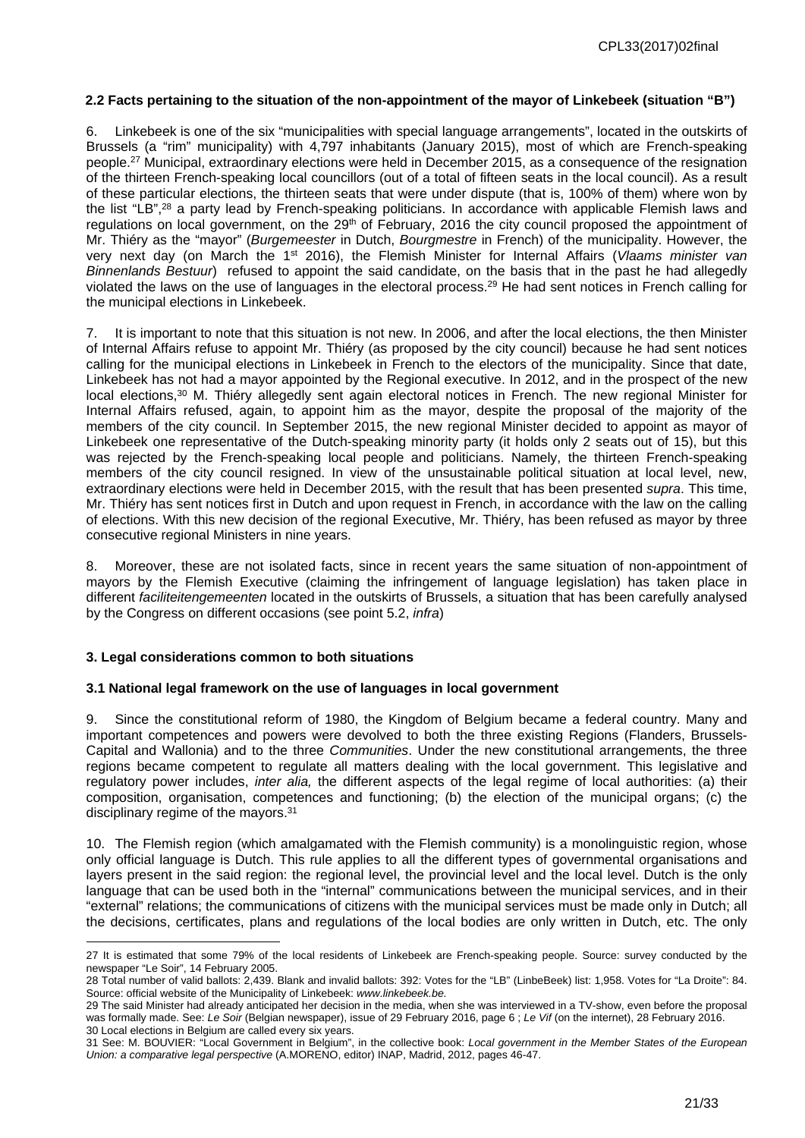#### <span id="page-20-0"></span>**2.2 Facts pertaining to the situation of the non-appointment of the mayor of Linkebeek (situation "B")**

6. Linkebeek is one of the six "municipalities with special language arrangements", located in the outskirts of Brussels (a "rim" municipality) with 4,797 inhabitants (January 2015), most of which are French-speaking people.<sup>27</sup> Municipal, extraordinary elections were held in December 2015, as a consequence of the resignation of the thirteen French-speaking local councillors (out of a total of fifteen seats in the local council). As a result of these particular elections, the thirteen seats that were under dispute (that is, 100% of them) where won by the list "LB",<sup>28</sup> a party lead by French-speaking politicians. In accordance with applicable Flemish laws and regulations on local government, on the 29<sup>th</sup> of February, 2016 the city council proposed the appointment of Mr. Thiéry as the "mayor" (*Burgemeester* in Dutch, *Bourgmestre* in French) of the municipality. However, the very next day (on March the 1st 2016), the Flemish Minister for Internal Affairs (*Vlaams minister van Binnenlands Bestuur*) refused to appoint the said candidate, on the basis that in the past he had allegedly violated the laws on the use of languages in the electoral process.<sup>29</sup> He had sent notices in French calling for the municipal elections in Linkebeek.

7. It is important to note that this situation is not new. In 2006, and after the local elections, the then Minister of Internal Affairs refuse to appoint Mr. Thiéry (as proposed by the city council) because he had sent notices calling for the municipal elections in Linkebeek in French to the electors of the municipality. Since that date, Linkebeek has not had a mayor appointed by the Regional executive. In 2012, and in the prospect of the new local elections,<sup>30</sup> M. Thiéry allegedly sent again electoral notices in French. The new regional Minister for Internal Affairs refused, again, to appoint him as the mayor, despite the proposal of the majority of the members of the city council. In September 2015, the new regional Minister decided to appoint as mayor of Linkebeek one representative of the Dutch-speaking minority party (it holds only 2 seats out of 15), but this was rejected by the French-speaking local people and politicians. Namely, the thirteen French-speaking members of the city council resigned. In view of the unsustainable political situation at local level, new, extraordinary elections were held in December 2015, with the result that has been presented *supra*. This time, Mr. Thiéry has sent notices first in Dutch and upon request in French, in accordance with the law on the calling of elections. With this new decision of the regional Executive, Mr. Thiéry, has been refused as mayor by three consecutive regional Ministers in nine years.

8. Moreover, these are not isolated facts, since in recent years the same situation of non-appointment of mayors by the Flemish Executive (claiming the infringement of language legislation) has taken place in different *faciliteitengemeenten* located in the outskirts of Brussels, a situation that has been carefully analysed by the Congress on different occasions (see point 5.2, *infra*)

#### <span id="page-20-1"></span>**3. Legal considerations common to both situations**

#### <span id="page-20-2"></span>**3.1 National legal framework on the use of languages in local government**

9. Since the constitutional reform of 1980, the Kingdom of Belgium became a federal country. Many and important competences and powers were devolved to both the three existing Regions (Flanders, Brussels-Capital and Wallonia) and to the three *Communities*. Under the new constitutional arrangements, the three regions became competent to regulate all matters dealing with the local government. This legislative and regulatory power includes, *inter alia,* the different aspects of the legal regime of local authorities: (a) their composition, organisation, competences and functioning; (b) the election of the municipal organs; (c) the disciplinary regime of the mayors.<sup>31</sup>

10. The Flemish region (which amalgamated with the Flemish community) is a monolinguistic region, whose only official language is Dutch. This rule applies to all the different types of governmental organisations and layers present in the said region: the regional level, the provincial level and the local level. Dutch is the only language that can be used both in the "internal" communications between the municipal services, and in their "external" relations; the communications of citizens with the municipal services must be made only in Dutch; all the decisions, certificates, plans and regulations of the local bodies are only written in Dutch, etc. The only

<sup>27</sup> It is estimated that some 79% of the local residents of Linkebeek are French-speaking people. Source: survey conducted by the newspaper "Le Soir", 14 February 2005.

<sup>28</sup> Total number of valid ballots: 2,439. Blank and invalid ballots: 392: Votes for the "LB" (LinbeBeek) list: 1,958. Votes for "La Droite": 84. Source: official website of the Municipality of Linkebeek: *www.linkebeek.be.*

<sup>29</sup> The said Minister had already anticipated her decision in the media, when she was interviewed in a TV-show, even before the proposal was formally made. See: *Le Soir* (Belgian newspaper), issue of 29 February 2016, page 6 ; *Le Vif* (on the internet), 28 February 2016. 30 Local elections in Belgium are called every six years.

<sup>31</sup> See: M. BOUVIER: "Local Government in Belgium", in the collective book: *Local government in the Member States of the European Union: a comparative legal perspective* (A.MORENO, editor) INAP, Madrid, 2012, pages 46-47.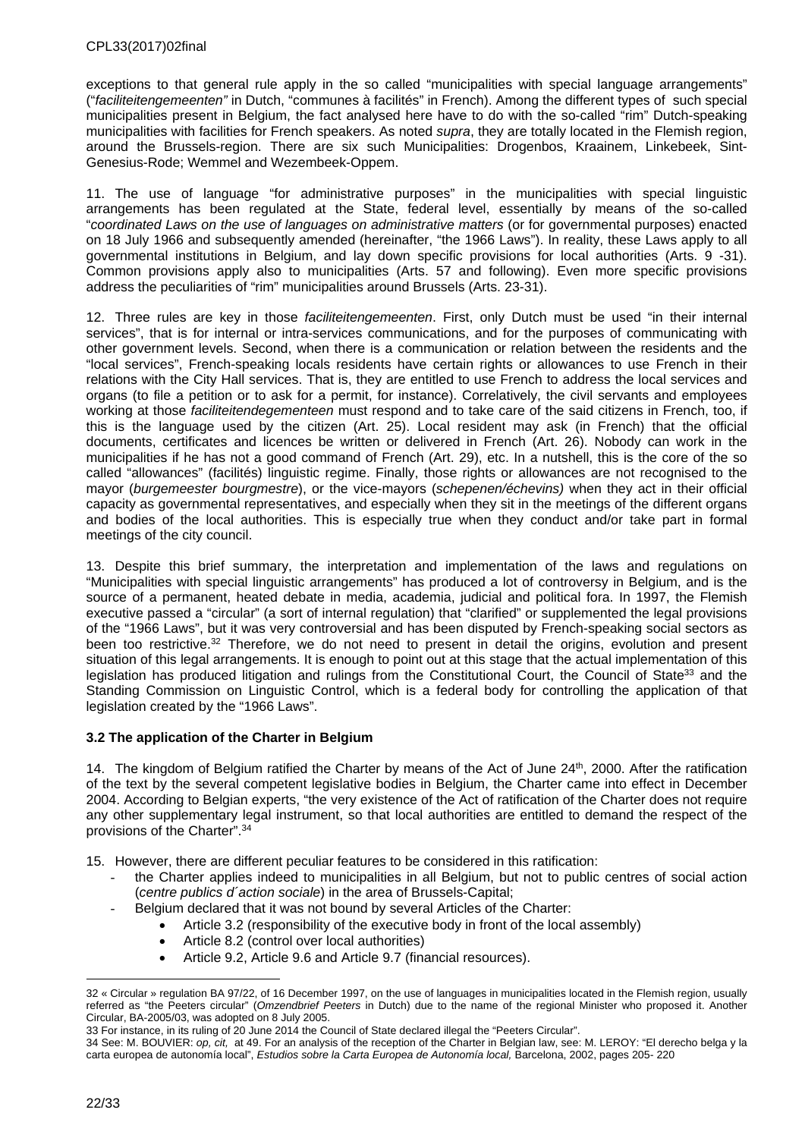exceptions to that general rule apply in the so called "municipalities with special language arrangements" ("*faciliteitengemeenten"* in Dutch, "communes à facilités" in French). Among the different types of such special municipalities present in Belgium, the fact analysed here have to do with the so-called "rim" Dutch-speaking municipalities with facilities for French speakers. As noted *supra*, they are totally located in the Flemish region, around the Brussels-region. There are six such Municipalities: Drogenbos, Kraainem, Linkebeek, Sint-Genesius-Rode; Wemmel and Wezembeek-Oppem.

11. The use of language "for administrative purposes" in the municipalities with special linguistic arrangements has been regulated at the State, federal level, essentially by means of the so-called "*coordinated Laws on the use of languages on administrative matters* (or for governmental purposes) enacted on 18 July 1966 and subsequently amended (hereinafter, "the 1966 Laws"). In reality, these Laws apply to all governmental institutions in Belgium, and lay down specific provisions for local authorities (Arts. 9 -31). Common provisions apply also to municipalities (Arts. 57 and following). Even more specific provisions address the peculiarities of "rim" municipalities around Brussels (Arts. 23-31).

12. Three rules are key in those *faciliteitengemeenten*. First, only Dutch must be used "in their internal services", that is for internal or intra-services communications, and for the purposes of communicating with other government levels. Second, when there is a communication or relation between the residents and the "local services", French-speaking locals residents have certain rights or allowances to use French in their relations with the City Hall services. That is, they are entitled to use French to address the local services and organs (to file a petition or to ask for a permit, for instance). Correlatively, the civil servants and employees working at those *faciliteitendegementeen* must respond and to take care of the said citizens in French, too, if this is the language used by the citizen (Art. 25). Local resident may ask (in French) that the official documents, certificates and licences be written or delivered in French (Art. 26). Nobody can work in the municipalities if he has not a good command of French (Art. 29), etc. In a nutshell, this is the core of the so called "allowances" (facilités) linguistic regime. Finally, those rights or allowances are not recognised to the mayor (*burgemeester bourgmestre*), or the vice-mayors (*schepenen/échevins)* when they act in their official capacity as governmental representatives, and especially when they sit in the meetings of the different organs and bodies of the local authorities. This is especially true when they conduct and/or take part in formal meetings of the city council.

13. Despite this brief summary, the interpretation and implementation of the laws and regulations on "Municipalities with special linguistic arrangements" has produced a lot of controversy in Belgium, and is the source of a permanent, heated debate in media, academia, judicial and political fora. In 1997, the Flemish executive passed a "circular" (a sort of internal regulation) that "clarified" or supplemented the legal provisions of the "1966 Laws", but it was very controversial and has been disputed by French-speaking social sectors as been too restrictive.<sup>32</sup> Therefore, we do not need to present in detail the origins, evolution and present situation of this legal arrangements. It is enough to point out at this stage that the actual implementation of this legislation has produced litigation and rulings from the Constitutional Court, the Council of State<sup>33</sup> and the Standing Commission on Linguistic Control, which is a federal body for controlling the application of that legislation created by the "1966 Laws".

## <span id="page-21-0"></span>**3.2 The application of the Charter in Belgium**

14. The kingdom of Belgium ratified the Charter by means of the Act of June 24th, 2000. After the ratification of the text by the several competent legislative bodies in Belgium, the Charter came into effect in December 2004. According to Belgian experts, "the very existence of the Act of ratification of the Charter does not require any other supplementary legal instrument, so that local authorities are entitled to demand the respect of the provisions of the Charter".<sup>34</sup>

15. However, there are different peculiar features to be considered in this ratification:

- the Charter applies indeed to municipalities in all Belgium, but not to public centres of social action (*centre publics d´action sociale*) in the area of Brussels-Capital;
- Belgium declared that it was not bound by several Articles of the Charter:
	- Article 3.2 (responsibility of the executive body in front of the local assembly)
		- Article 8.2 (control over local authorities)
		- Article 9.2, Article 9.6 and Article 9.7 (financial resources).

<sup>32 «</sup> Circular » regulation BA 97/22, of 16 December 1997, on the use of languages in municipalities located in the Flemish region, usually referred as "the Peeters circular" (*Omzendbrief Peeters* in Dutch) due to the name of the regional Minister who proposed it. Another Circular, BA-2005/03, was adopted on 8 July 2005.

<sup>33</sup> For instance, in its ruling of 20 June 2014 the Council of State declared illegal the "Peeters Circular".

<sup>34</sup> See: M. BOUVIER: *op, cit,* at 49. For an analysis of the reception of the Charter in Belgian law, see: M. LEROY: "El derecho belga y la carta europea de autonomía local", *Estudios sobre la Carta Europea de Autonomía local,* Barcelona, 2002, pages 205- 220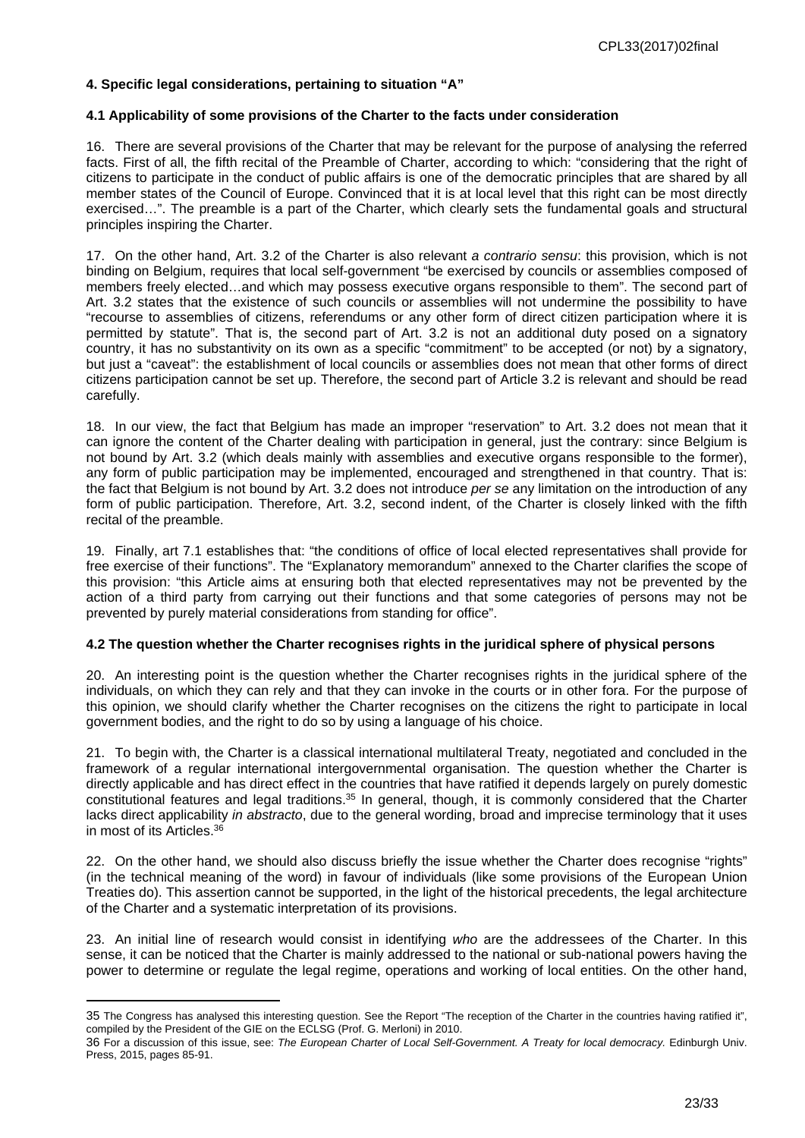#### <span id="page-22-0"></span>**4. Specific legal considerations, pertaining to situation "A"**

#### <span id="page-22-1"></span>**4.1 Applicability of some provisions of the Charter to the facts under consideration**

16. There are several provisions of the Charter that may be relevant for the purpose of analysing the referred facts. First of all, the fifth recital of the Preamble of Charter, according to which: "considering that the right of citizens to participate in the conduct of public affairs is one of the democratic principles that are shared by all member states of the Council of Europe. Convinced that it is at local level that this right can be most directly exercised…". The preamble is a part of the Charter, which clearly sets the fundamental goals and structural principles inspiring the Charter.

17. On the other hand, Art. 3.2 of the Charter is also relevant *a contrario sensu*: this provision, which is not binding on Belgium, requires that local self-government "be exercised by councils or assemblies composed of members freely elected…and which may possess executive organs responsible to them". The second part of Art. 3.2 states that the existence of such councils or assemblies will not undermine the possibility to have "recourse to assemblies of citizens, referendums or any other form of direct citizen participation where it is permitted by statute". That is, the second part of Art. 3.2 is not an additional duty posed on a signatory country, it has no substantivity on its own as a specific "commitment" to be accepted (or not) by a signatory, but just a "caveat": the establishment of local councils or assemblies does not mean that other forms of direct citizens participation cannot be set up. Therefore, the second part of Article 3.2 is relevant and should be read carefully.

18. In our view, the fact that Belgium has made an improper "reservation" to Art. 3.2 does not mean that it can ignore the content of the Charter dealing with participation in general, just the contrary: since Belgium is not bound by Art. 3.2 (which deals mainly with assemblies and executive organs responsible to the former), any form of public participation may be implemented, encouraged and strengthened in that country. That is: the fact that Belgium is not bound by Art. 3.2 does not introduce *per se* any limitation on the introduction of any form of public participation. Therefore, Art. 3.2, second indent, of the Charter is closely linked with the fifth recital of the preamble.

19. Finally, art 7.1 establishes that: "the conditions of office of local elected representatives shall provide for free exercise of their functions". The "Explanatory memorandum" annexed to the Charter clarifies the scope of this provision: "this Article aims at ensuring both that elected representatives may not be prevented by the action of a third party from carrying out their functions and that some categories of persons may not be prevented by purely material considerations from standing for office".

#### <span id="page-22-2"></span>**4.2 The question whether the Charter recognises rights in the juridical sphere of physical persons**

20. An interesting point is the question whether the Charter recognises rights in the juridical sphere of the individuals, on which they can rely and that they can invoke in the courts or in other fora. For the purpose of this opinion, we should clarify whether the Charter recognises on the citizens the right to participate in local government bodies, and the right to do so by using a language of his choice.

21. To begin with, the Charter is a classical international multilateral Treaty, negotiated and concluded in the framework of a regular international intergovernmental organisation. The question whether the Charter is directly applicable and has direct effect in the countries that have ratified it depends largely on purely domestic constitutional features and legal traditions.<sup>35</sup> In general, though, it is commonly considered that the Charter lacks direct applicability *in abstracto*, due to the general wording, broad and imprecise terminology that it uses in most of its Articles.<sup>36</sup>

22. On the other hand, we should also discuss briefly the issue whether the Charter does recognise "rights" (in the technical meaning of the word) in favour of individuals (like some provisions of the European Union Treaties do). This assertion cannot be supported, in the light of the historical precedents, the legal architecture of the Charter and a systematic interpretation of its provisions.

23. An initial line of research would consist in identifying *who* are the addressees of the Charter. In this sense, it can be noticed that the Charter is mainly addressed to the national or sub-national powers having the power to determine or regulate the legal regime, operations and working of local entities. On the other hand,

<sup>35</sup> The Congress has analysed this interesting question. See the Report "The reception of the Charter in the countries having ratified it", compiled by the President of the GIE on the ECLSG (Prof. G. Merloni) in 2010.

<sup>36</sup> For a discussion of this issue, see: The European Charter of Local Self-Government. A Treaty for local democracy. Edinburgh Univ. Press, 2015, pages 85-91.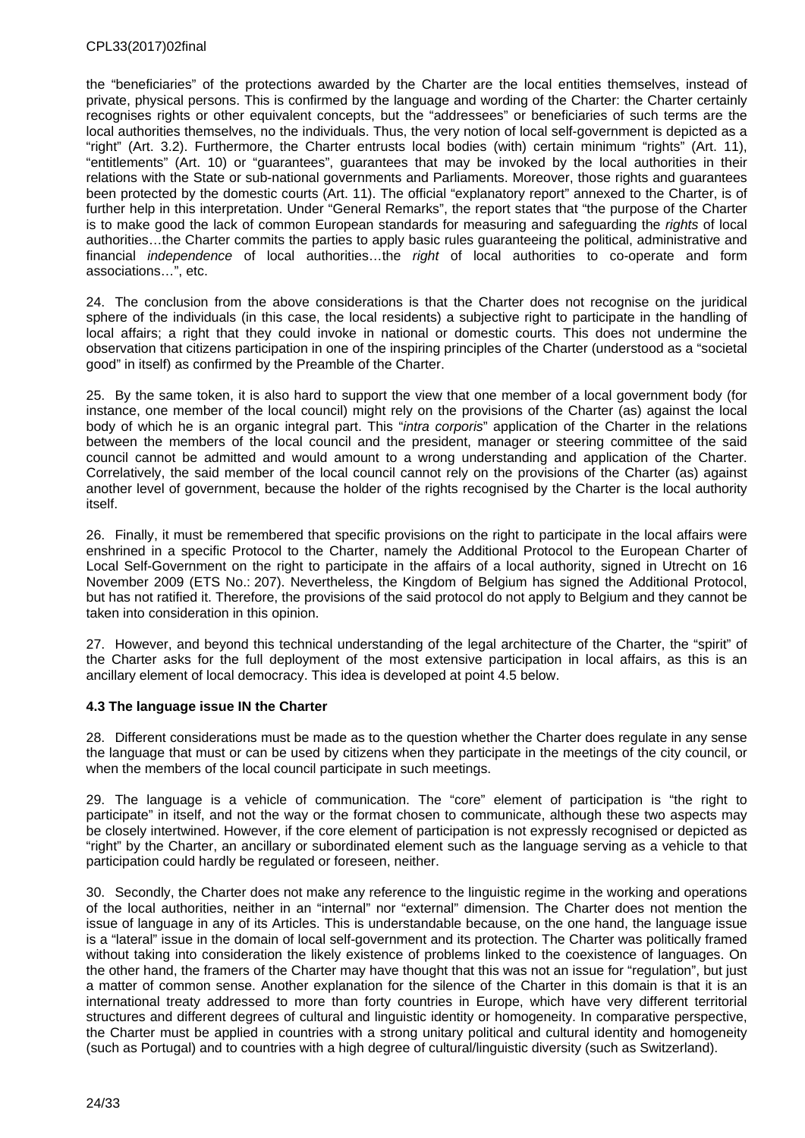the "beneficiaries" of the protections awarded by the Charter are the local entities themselves, instead of private, physical persons. This is confirmed by the language and wording of the Charter: the Charter certainly recognises rights or other equivalent concepts, but the "addressees" or beneficiaries of such terms are the local authorities themselves, no the individuals. Thus, the very notion of local self-government is depicted as a "right" (Art. 3.2). Furthermore, the Charter entrusts local bodies (with) certain minimum "rights" (Art. 11), "entitlements" (Art. 10) or "guarantees", guarantees that may be invoked by the local authorities in their relations with the State or sub-national governments and Parliaments. Moreover, those rights and guarantees been protected by the domestic courts (Art. 11). The official "explanatory report" annexed to the Charter, is of further help in this interpretation. Under "General Remarks", the report states that "the purpose of the Charter is to make good the lack of common European standards for measuring and safeguarding the *rights* of local authorities…the Charter commits the parties to apply basic rules guaranteeing the political, administrative and financial *independence* of local authorities…the *right* of local authorities to co-operate and form associations…", etc.

24. The conclusion from the above considerations is that the Charter does not recognise on the juridical sphere of the individuals (in this case, the local residents) a subjective right to participate in the handling of local affairs; a right that they could invoke in national or domestic courts. This does not undermine the observation that citizens participation in one of the inspiring principles of the Charter (understood as a "societal good" in itself) as confirmed by the Preamble of the Charter.

25. By the same token, it is also hard to support the view that one member of a local government body (for instance, one member of the local council) might rely on the provisions of the Charter (as) against the local body of which he is an organic integral part. This "*intra corporis*" application of the Charter in the relations between the members of the local council and the president, manager or steering committee of the said council cannot be admitted and would amount to a wrong understanding and application of the Charter. Correlatively, the said member of the local council cannot rely on the provisions of the Charter (as) against another level of government, because the holder of the rights recognised by the Charter is the local authority itself.

26. Finally, it must be remembered that specific provisions on the right to participate in the local affairs were enshrined in a specific Protocol to the Charter, namely the Additional Protocol to the European Charter of Local Self-Government on the right to participate in the affairs of a local authority, signed in Utrecht on 16 November 2009 (ETS No.: 207). Nevertheless, the Kingdom of Belgium has signed the Additional Protocol, but has not ratified it. Therefore, the provisions of the said protocol do not apply to Belgium and they cannot be taken into consideration in this opinion.

27. However, and beyond this technical understanding of the legal architecture of the Charter, the "spirit" of the Charter asks for the full deployment of the most extensive participation in local affairs, as this is an ancillary element of local democracy. This idea is developed at point 4.5 below.

## <span id="page-23-0"></span>**4.3 The language issue IN the Charter**

28. Different considerations must be made as to the question whether the Charter does regulate in any sense the language that must or can be used by citizens when they participate in the meetings of the city council, or when the members of the local council participate in such meetings.

29. The language is a vehicle of communication. The "core" element of participation is "the right to participate" in itself, and not the way or the format chosen to communicate, although these two aspects may be closely intertwined. However, if the core element of participation is not expressly recognised or depicted as "right" by the Charter, an ancillary or subordinated element such as the language serving as a vehicle to that participation could hardly be regulated or foreseen, neither.

30. Secondly, the Charter does not make any reference to the linguistic regime in the working and operations of the local authorities, neither in an "internal" nor "external" dimension. The Charter does not mention the issue of language in any of its Articles. This is understandable because, on the one hand, the language issue is a "lateral" issue in the domain of local self-government and its protection. The Charter was politically framed without taking into consideration the likely existence of problems linked to the coexistence of languages. On the other hand, the framers of the Charter may have thought that this was not an issue for "regulation", but just a matter of common sense. Another explanation for the silence of the Charter in this domain is that it is an international treaty addressed to more than forty countries in Europe, which have very different territorial structures and different degrees of cultural and linguistic identity or homogeneity. In comparative perspective, the Charter must be applied in countries with a strong unitary political and cultural identity and homogeneity (such as Portugal) and to countries with a high degree of cultural/linguistic diversity (such as Switzerland).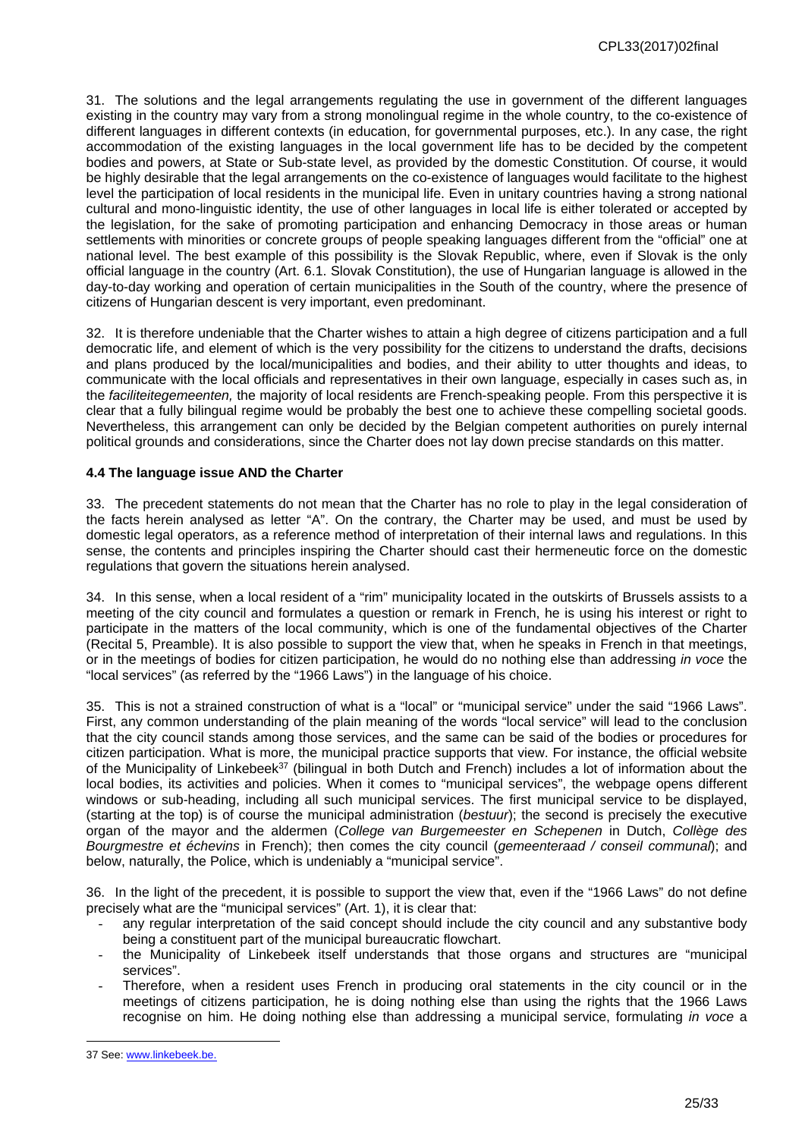31. The solutions and the legal arrangements regulating the use in government of the different languages existing in the country may vary from a strong monolingual regime in the whole country, to the co-existence of different languages in different contexts (in education, for governmental purposes, etc.). In any case, the right accommodation of the existing languages in the local government life has to be decided by the competent bodies and powers, at State or Sub-state level, as provided by the domestic Constitution. Of course, it would be highly desirable that the legal arrangements on the co-existence of languages would facilitate to the highest level the participation of local residents in the municipal life. Even in unitary countries having a strong national cultural and mono-linguistic identity, the use of other languages in local life is either tolerated or accepted by the legislation, for the sake of promoting participation and enhancing Democracy in those areas or human settlements with minorities or concrete groups of people speaking languages different from the "official" one at national level. The best example of this possibility is the Slovak Republic, where, even if Slovak is the only official language in the country (Art. 6.1. Slovak Constitution), the use of Hungarian language is allowed in the day-to-day working and operation of certain municipalities in the South of the country, where the presence of citizens of Hungarian descent is very important, even predominant.

32. It is therefore undeniable that the Charter wishes to attain a high degree of citizens participation and a full democratic life, and element of which is the very possibility for the citizens to understand the drafts, decisions and plans produced by the local/municipalities and bodies, and their ability to utter thoughts and ideas, to communicate with the local officials and representatives in their own language, especially in cases such as, in the *faciliteitegemeenten,* the majority of local residents are French-speaking people. From this perspective it is clear that a fully bilingual regime would be probably the best one to achieve these compelling societal goods. Nevertheless, this arrangement can only be decided by the Belgian competent authorities on purely internal political grounds and considerations, since the Charter does not lay down precise standards on this matter.

#### <span id="page-24-0"></span>**4.4 The language issue AND the Charter**

33. The precedent statements do not mean that the Charter has no role to play in the legal consideration of the facts herein analysed as letter "A". On the contrary, the Charter may be used, and must be used by domestic legal operators, as a reference method of interpretation of their internal laws and regulations. In this sense, the contents and principles inspiring the Charter should cast their hermeneutic force on the domestic regulations that govern the situations herein analysed.

34. In this sense, when a local resident of a "rim" municipality located in the outskirts of Brussels assists to a meeting of the city council and formulates a question or remark in French, he is using his interest or right to participate in the matters of the local community, which is one of the fundamental objectives of the Charter (Recital 5, Preamble). It is also possible to support the view that, when he speaks in French in that meetings, or in the meetings of bodies for citizen participation, he would do no nothing else than addressing *in voce* the "local services" (as referred by the "1966 Laws") in the language of his choice.

35. This is not a strained construction of what is a "local" or "municipal service" under the said "1966 Laws". First, any common understanding of the plain meaning of the words "local service" will lead to the conclusion that the city council stands among those services, and the same can be said of the bodies or procedures for citizen participation. What is more, the municipal practice supports that view. For instance, the official website of the Municipality of Linkebeek<sup>37</sup> (bilingual in both Dutch and French) includes a lot of information about the local bodies, its activities and policies. When it comes to "municipal services", the webpage opens different windows or sub-heading, including all such municipal services. The first municipal service to be displayed, (starting at the top) is of course the municipal administration (*bestuur*); the second is precisely the executive organ of the mayor and the aldermen (*College van Burgemeester en Schepenen* in Dutch, *Collège des Bourgmestre et échevins* in French); then comes the city council (*gemeenteraad / conseil communal*); and below, naturally, the Police, which is undeniably a "municipal service".

36. In the light of the precedent, it is possible to support the view that, even if the "1966 Laws" do not define precisely what are the "municipal services" (Art. 1), it is clear that:

- any regular interpretation of the said concept should include the city council and any substantive body being a constituent part of the municipal bureaucratic flowchart.
- the Municipality of Linkebeek itself understands that those organs and structures are "municipal services".
- Therefore, when a resident uses French in producing oral statements in the city council or in the meetings of citizens participation, he is doing nothing else than using the rights that the 1966 Laws recognise on him. He doing nothing else than addressing a municipal service, formulating *in voce* a

<sup>37</sup> See: [www.linkebeek.be](http://www.linkebeek.be).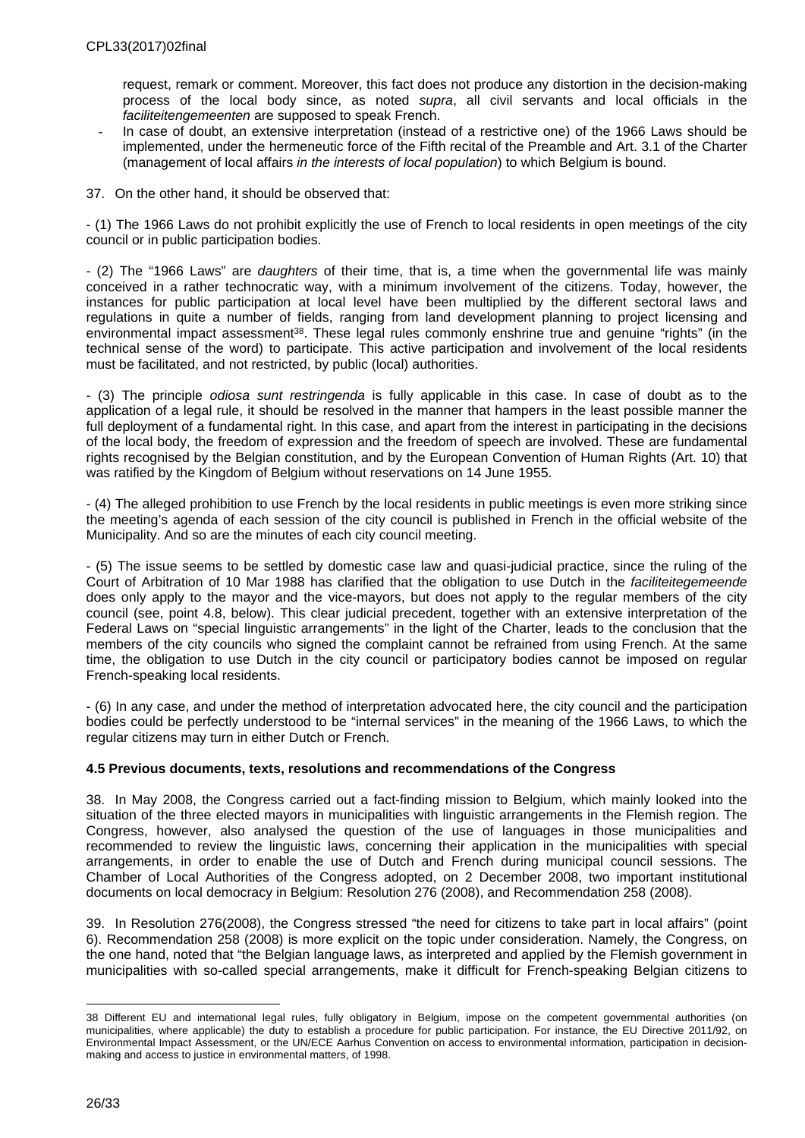request, remark or comment. Moreover, this fact does not produce any distortion in the decision-making process of the local body since, as noted *supra*, all civil servants and local officials in the *faciliteitengemeenten* are supposed to speak French.

- In case of doubt, an extensive interpretation (instead of a restrictive one) of the 1966 Laws should be implemented, under the hermeneutic force of the Fifth recital of the Preamble and Art. 3.1 of the Charter (management of local affairs *in the interests of local population*) to which Belgium is bound.
- 37. On the other hand, it should be observed that:

- (1) The 1966 Laws do not prohibit explicitly the use of French to local residents in open meetings of the city council or in public participation bodies.

- (2) The "1966 Laws" are *daughters* of their time, that is, a time when the governmental life was mainly conceived in a rather technocratic way, with a minimum involvement of the citizens. Today, however, the instances for public participation at local level have been multiplied by the different sectoral laws and regulations in quite a number of fields, ranging from land development planning to project licensing and environmental impact assessment<sup>38</sup>. These legal rules commonly enshrine true and genuine "rights" (in the technical sense of the word) to participate. This active participation and involvement of the local residents must be facilitated, and not restricted, by public (local) authorities.

- (3) The principle *odiosa sunt restringenda* is fully applicable in this case. In case of doubt as to the application of a legal rule, it should be resolved in the manner that hampers in the least possible manner the full deployment of a fundamental right. In this case, and apart from the interest in participating in the decisions of the local body, the freedom of expression and the freedom of speech are involved. These are fundamental rights recognised by the Belgian constitution, and by the European Convention of Human Rights (Art. 10) that was ratified by the Kingdom of Belgium without reservations on 14 June 1955.

- (4) The alleged prohibition to use French by the local residents in public meetings is even more striking since the meeting's agenda of each session of the city council is published in French in the official website of the Municipality. And so are the minutes of each city council meeting.

- (5) The issue seems to be settled by domestic case law and quasi-judicial practice, since the ruling of the Court of Arbitration of 10 Mar 1988 has clarified that the obligation to use Dutch in the *faciliteitegemeende* does only apply to the mayor and the vice-mayors, but does not apply to the regular members of the city council (see, point 4.8, below). This clear judicial precedent, together with an extensive interpretation of the Federal Laws on "special linguistic arrangements" in the light of the Charter, leads to the conclusion that the members of the city councils who signed the complaint cannot be refrained from using French. At the same time, the obligation to use Dutch in the city council or participatory bodies cannot be imposed on regular French-speaking local residents.

- (6) In any case, and under the method of interpretation advocated here, the city council and the participation bodies could be perfectly understood to be "internal services" in the meaning of the 1966 Laws, to which the regular citizens may turn in either Dutch or French.

## <span id="page-25-0"></span>**4.5 Previous documents, texts, resolutions and recommendations of the Congress**

38. In May 2008, the Congress carried out a fact-finding mission to Belgium, which mainly looked into the situation of the three elected mayors in municipalities with linguistic arrangements in the Flemish region. The Congress, however, also analysed the question of the use of languages in those municipalities and recommended to review the linguistic laws, concerning their application in the municipalities with special arrangements, in order to enable the use of Dutch and French during municipal council sessions. The Chamber of Local Authorities of the Congress adopted, on 2 December 2008, two important institutional documents on local democracy in Belgium: Resolution 276 (2008), and Recommendation 258 (2008).

39. In Resolution 276(2008), the Congress stressed "the need for citizens to take part in local affairs" (point 6). Recommendation 258 (2008) is more explicit on the topic under consideration. Namely, the Congress, on the one hand, noted that "the Belgian language laws, as interpreted and applied by the Flemish government in municipalities with so-called special arrangements, make it difficult for French-speaking Belgian citizens to

<sup>38</sup> Different EU and international legal rules, fully obligatory in Belgium, impose on the competent governmental authorities (on municipalities, where applicable) the duty to establish a procedure for public participation. For instance, the EU Directive 2011/92, on Environmental Impact Assessment, or the UN/ECE Aarhus Convention on access to environmental information, participation in decisionmaking and access to justice in environmental matters, of 1998.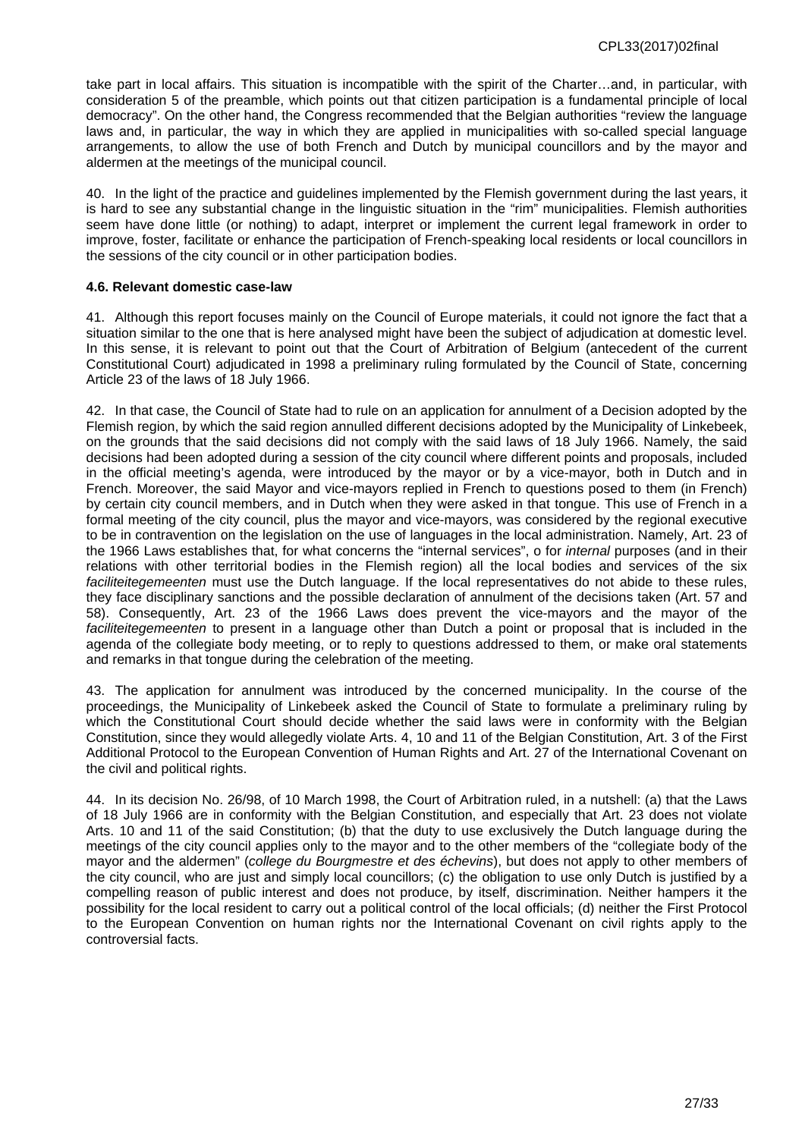take part in local affairs. This situation is incompatible with the spirit of the Charter…and, in particular, with consideration 5 of the preamble, which points out that citizen participation is a fundamental principle of local democracy". On the other hand, the Congress recommended that the Belgian authorities "review the language laws and, in particular, the way in which they are applied in municipalities with so-called special language arrangements, to allow the use of both French and Dutch by municipal councillors and by the mayor and aldermen at the meetings of the municipal council.

40. In the light of the practice and guidelines implemented by the Flemish government during the last years, it is hard to see any substantial change in the linguistic situation in the "rim" municipalities. Flemish authorities seem have done little (or nothing) to adapt, interpret or implement the current legal framework in order to improve, foster, facilitate or enhance the participation of French-speaking local residents or local councillors in the sessions of the city council or in other participation bodies.

#### <span id="page-26-0"></span>**4.6. Relevant domestic case-law**

41. Although this report focuses mainly on the Council of Europe materials, it could not ignore the fact that a situation similar to the one that is here analysed might have been the subject of adjudication at domestic level. In this sense, it is relevant to point out that the Court of Arbitration of Belgium (antecedent of the current Constitutional Court) adjudicated in 1998 a preliminary ruling formulated by the Council of State, concerning Article 23 of the laws of 18 July 1966.

42. In that case, the Council of State had to rule on an application for annulment of a Decision adopted by the Flemish region, by which the said region annulled different decisions adopted by the Municipality of Linkebeek, on the grounds that the said decisions did not comply with the said laws of 18 July 1966. Namely, the said decisions had been adopted during a session of the city council where different points and proposals, included in the official meeting's agenda, were introduced by the mayor or by a vice-mayor, both in Dutch and in French. Moreover, the said Mayor and vice-mayors replied in French to questions posed to them (in French) by certain city council members, and in Dutch when they were asked in that tongue. This use of French in a formal meeting of the city council, plus the mayor and vice-mayors, was considered by the regional executive to be in contravention on the legislation on the use of languages in the local administration. Namely, Art. 23 of the 1966 Laws establishes that, for what concerns the "internal services", o for *internal* purposes (and in their relations with other territorial bodies in the Flemish region) all the local bodies and services of the six *faciliteitegemeenten* must use the Dutch language. If the local representatives do not abide to these rules, they face disciplinary sanctions and the possible declaration of annulment of the decisions taken (Art. 57 and 58). Consequently, Art. 23 of the 1966 Laws does prevent the vice-mayors and the mayor of the *faciliteitegemeenten* to present in a language other than Dutch a point or proposal that is included in the agenda of the collegiate body meeting, or to reply to questions addressed to them, or make oral statements and remarks in that tongue during the celebration of the meeting.

43. The application for annulment was introduced by the concerned municipality. In the course of the proceedings, the Municipality of Linkebeek asked the Council of State to formulate a preliminary ruling by which the Constitutional Court should decide whether the said laws were in conformity with the Belgian Constitution, since they would allegedly violate Arts. 4, 10 and 11 of the Belgian Constitution, Art. 3 of the First Additional Protocol to the European Convention of Human Rights and Art. 27 of the International Covenant on the civil and political rights.

<span id="page-26-1"></span>44. In its decision No. 26/98, of 10 March 1998, the Court of Arbitration ruled, in a nutshell: (a) that the Laws of 18 July 1966 are in conformity with the Belgian Constitution, and especially that Art. 23 does not violate Arts. 10 and 11 of the said Constitution; (b) that the duty to use exclusively the Dutch language during the meetings of the city council applies only to the mayor and to the other members of the "collegiate body of the mayor and the aldermen" (*college du Bourgmestre et des échevins*), but does not apply to other members of the city council, who are just and simply local councillors; (c) the obligation to use only Dutch is justified by a compelling reason of public interest and does not produce, by itself, discrimination. Neither hampers it the possibility for the local resident to carry out a political control of the local officials; (d) neither the First Protocol to the European Convention on human rights nor the International Covenant on civil rights apply to the controversial facts.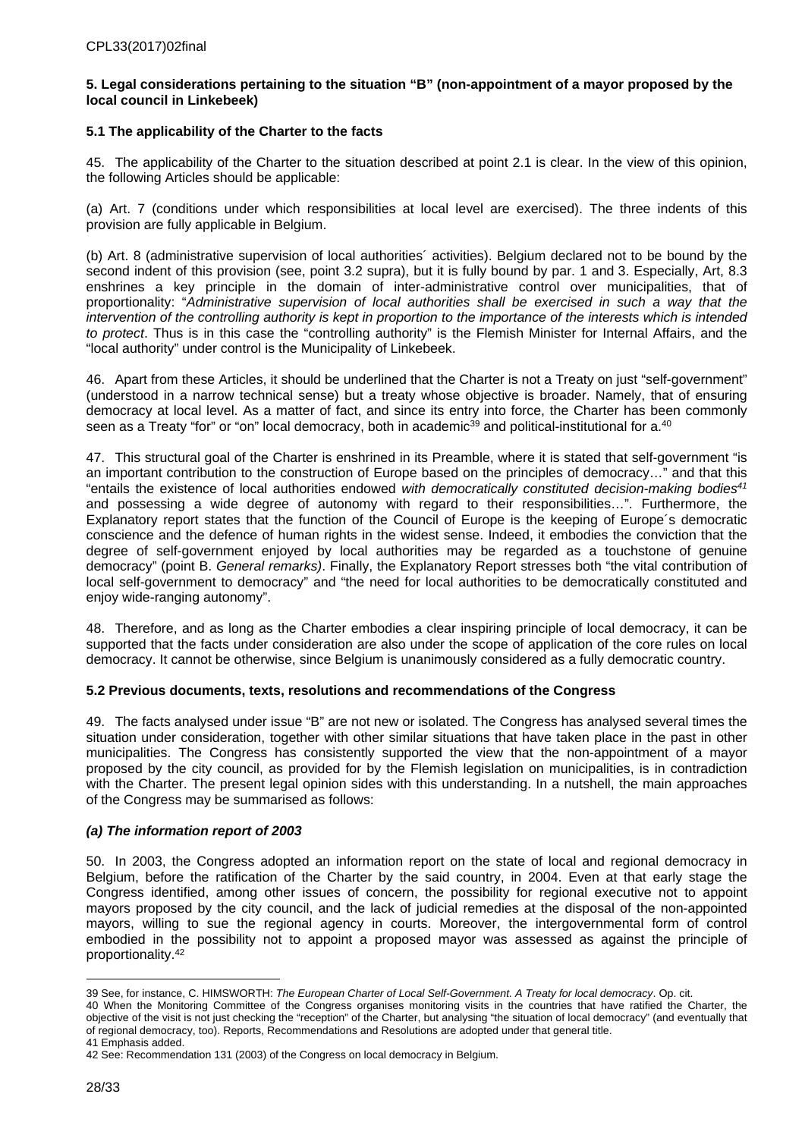#### **5. Legal considerations pertaining to the situation "B" (non-appointment of a mayor proposed by the local council in Linkebeek)**

## <span id="page-27-0"></span>**5.1 The applicability of the Charter to the facts**

45. The applicability of the Charter to the situation described at point 2.1 is clear. In the view of this opinion, the following Articles should be applicable:

(a) Art. 7 (conditions under which responsibilities at local level are exercised). The three indents of this provision are fully applicable in Belgium.

(b) Art. 8 (administrative supervision of local authorities´ activities). Belgium declared not to be bound by the second indent of this provision (see, point 3.2 supra), but it is fully bound by par. 1 and 3. Especially, Art, 8.3 enshrines a key principle in the domain of inter-administrative control over municipalities, that of proportionality: "*Administrative supervision of local authorities shall be exercised in such a way that the intervention of the controlling authority is kept in proportion to the importance of the interests which is intended to protect*. Thus is in this case the "controlling authority" is the Flemish Minister for Internal Affairs, and the "local authority" under control is the Municipality of Linkebeek.

46. Apart from these Articles, it should be underlined that the Charter is not a Treaty on just "self-government" (understood in a narrow technical sense) but a treaty whose objective is broader. Namely, that of ensuring democracy at local level. As a matter of fact, and since its entry into force, the Charter has been commonly seen as a Treaty "for" or "on" local democracy, both in academic<sup>39</sup> and political-institutional for a.<sup>40</sup>

47. This structural goal of the Charter is enshrined in its Preamble, where it is stated that self-government "is an important contribution to the construction of Europe based on the principles of democracy…" and that this "entails the existence of local authorities endowed *with democratically constituted decision-making bodies<sup>41</sup>* and possessing a wide degree of autonomy with regard to their responsibilities…". Furthermore, the Explanatory report states that the function of the Council of Europe is the keeping of Europe´s democratic conscience and the defence of human rights in the widest sense. Indeed, it embodies the conviction that the degree of self-government enjoyed by local authorities may be regarded as a touchstone of genuine democracy" (point B. *General remarks)*. Finally, the Explanatory Report stresses both "the vital contribution of local self-government to democracy" and "the need for local authorities to be democratically constituted and enjoy wide-ranging autonomy".

48. Therefore, and as long as the Charter embodies a clear inspiring principle of local democracy, it can be supported that the facts under consideration are also under the scope of application of the core rules on local democracy. It cannot be otherwise, since Belgium is unanimously considered as a fully democratic country.

## <span id="page-27-1"></span>**5.2 Previous documents, texts, resolutions and recommendations of the Congress**

49. The facts analysed under issue "B" are not new or isolated. The Congress has analysed several times the situation under consideration, together with other similar situations that have taken place in the past in other municipalities. The Congress has consistently supported the view that the non-appointment of a mayor proposed by the city council, as provided for by the Flemish legislation on municipalities, is in contradiction with the Charter. The present legal opinion sides with this understanding. In a nutshell, the main approaches of the Congress may be summarised as follows:

## *(a) The information report of 2003*

50. In 2003, the Congress adopted an information report on the state of local and regional democracy in Belgium, before the ratification of the Charter by the said country, in 2004. Even at that early stage the Congress identified, among other issues of concern, the possibility for regional executive not to appoint mayors proposed by the city council, and the lack of judicial remedies at the disposal of the non-appointed mayors, willing to sue the regional agency in courts. Moreover, the intergovernmental form of control embodied in the possibility not to appoint a proposed mayor was assessed as against the principle of proportionality.<sup>42</sup>

<sup>39</sup> See, for instance, C. HIMSWORTH: *The European Charter of Local Self-Government. A Treaty for local democracy*. Op. cit.

<sup>40</sup> When the Monitoring Committee of the Congress organises monitoring visits in the countries that have ratified the Charter, the objective of the visit is not just checking the "reception" of the Charter, but analysing "the situation of local democracy" (and eventually that of regional democracy, too). Reports, Recommendations and Resolutions are adopted under that general title. 41 Emphasis added.

<sup>42</sup> See: Recommendation 131 (2003) of the Congress on local democracy in Belgium.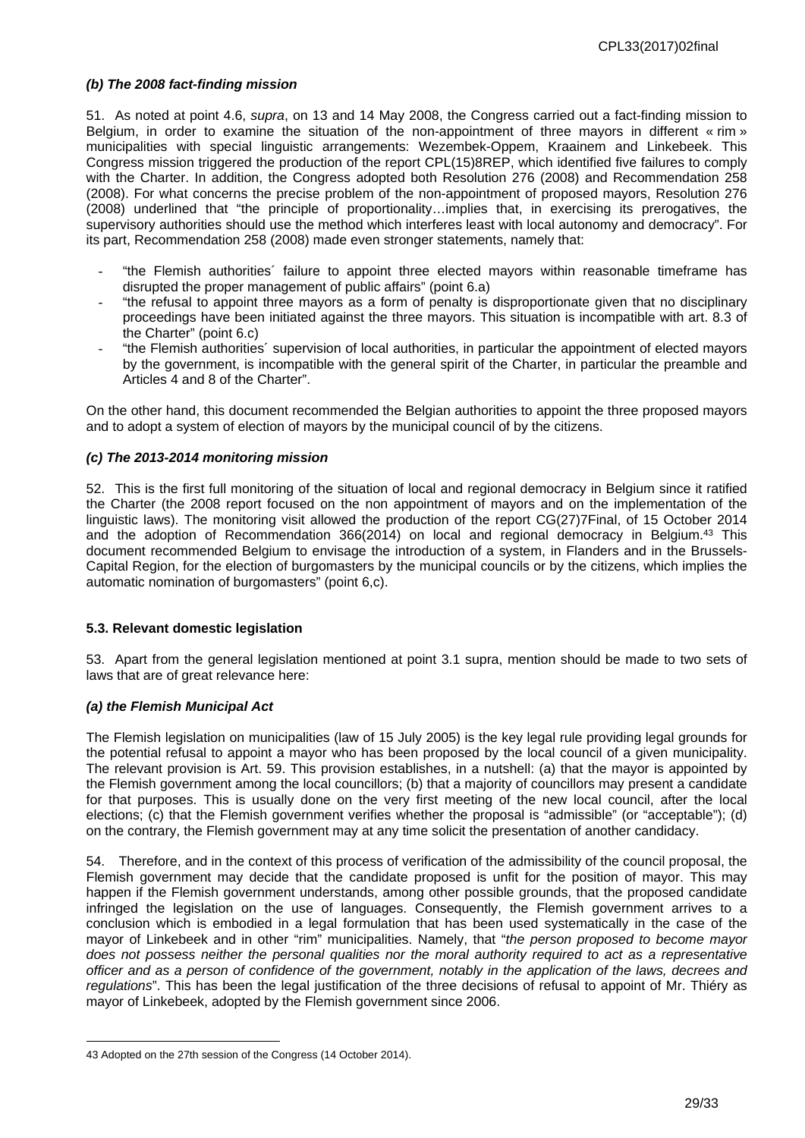#### *(b) The 2008 fact-finding mission*

51. As noted at point 4.6, *supra*, on 13 and 14 May 2008, the Congress carried out a fact-finding mission to Belgium, in order to examine the situation of the non-appointment of three mayors in different « rim » municipalities with special linguistic arrangements: Wezembek-Oppem, Kraainem and Linkebeek. This Congress mission triggered the production of the report CPL(15)8REP, which identified five failures to comply with the Charter. In addition, the Congress adopted both Resolution 276 (2008) and Recommendation 258 (2008). For what concerns the precise problem of the non-appointment of proposed mayors, Resolution 276 (2008) underlined that "the principle of proportionality…implies that, in exercising its prerogatives, the supervisory authorities should use the method which interferes least with local autonomy and democracy". For its part, Recommendation 258 (2008) made even stronger statements, namely that:

- "the Flemish authorities´ failure to appoint three elected mayors within reasonable timeframe has disrupted the proper management of public affairs" (point 6.a)
- "the refusal to appoint three mayors as a form of penalty is disproportionate given that no disciplinary proceedings have been initiated against the three mayors. This situation is incompatible with art. 8.3 of the Charter" (point 6.c)
- "the Flemish authorities´ supervision of local authorities, in particular the appointment of elected mayors by the government, is incompatible with the general spirit of the Charter, in particular the preamble and Articles 4 and 8 of the Charter".

On the other hand, this document recommended the Belgian authorities to appoint the three proposed mayors and to adopt a system of election of mayors by the municipal council of by the citizens.

#### *(c) The 2013-2014 monitoring mission*

52. This is the first full monitoring of the situation of local and regional democracy in Belgium since it ratified the Charter (the 2008 report focused on the non appointment of mayors and on the implementation of the linguistic laws). The monitoring visit allowed the production of the report CG(27)7Final, of 15 October 2014 and the adoption of Recommendation 366(2014) on local and regional democracy in Belgium.<sup>43</sup> This document recommended Belgium to envisage the introduction of a system, in Flanders and in the Brussels-Capital Region, for the election of burgomasters by the municipal councils or by the citizens, which implies the automatic nomination of burgomasters" (point 6,c).

#### <span id="page-28-0"></span>**5.3. Relevant domestic legislation**

53. Apart from the general legislation mentioned at point 3.1 supra, mention should be made to two sets of laws that are of great relevance here:

## *(a) the Flemish Municipal Act*

The Flemish legislation on municipalities (law of 15 July 2005) is the key legal rule providing legal grounds for the potential refusal to appoint a mayor who has been proposed by the local council of a given municipality. The relevant provision is Art. 59. This provision establishes, in a nutshell: (a) that the mayor is appointed by the Flemish government among the local councillors; (b) that a majority of councillors may present a candidate for that purposes. This is usually done on the very first meeting of the new local council, after the local elections; (c) that the Flemish government verifies whether the proposal is "admissible" (or "acceptable"); (d) on the contrary, the Flemish government may at any time solicit the presentation of another candidacy.

54. Therefore, and in the context of this process of verification of the admissibility of the council proposal, the Flemish government may decide that the candidate proposed is unfit for the position of mayor. This may happen if the Flemish government understands, among other possible grounds, that the proposed candidate infringed the legislation on the use of languages. Consequently, the Flemish government arrives to a conclusion which is embodied in a legal formulation that has been used systematically in the case of the mayor of Linkebeek and in other "rim" municipalities. Namely, that "*the person proposed to become mayor does not possess neither the personal qualities nor the moral authority required to act as a representative officer and as a person of confidence of the government, notably in the application of the laws, decrees and regulations*". This has been the legal justification of the three decisions of refusal to appoint of Mr. Thiéry as mayor of Linkebeek, adopted by the Flemish government since 2006.

<sup>43</sup> Adopted on the 27th session of the Congress (14 October 2014).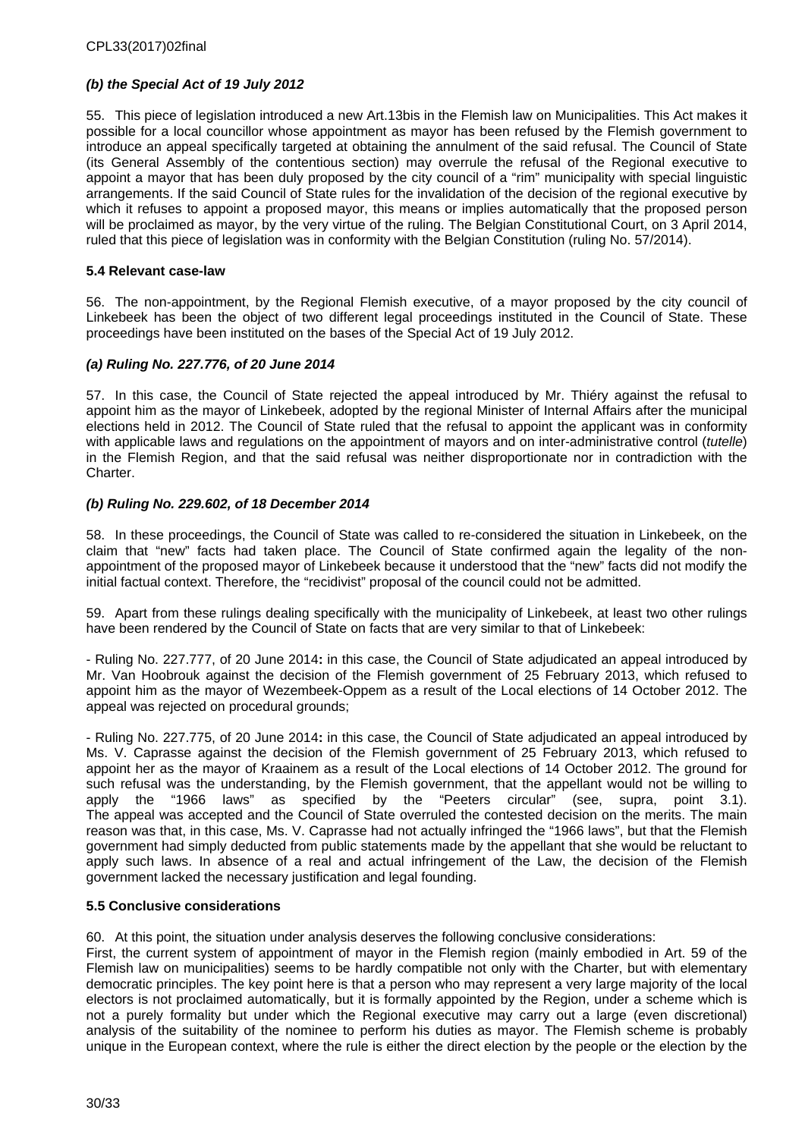## *(b) the Special Act of 19 July 2012*

55. This piece of legislation introduced a new Art.13bis in the Flemish law on Municipalities. This Act makes it possible for a local councillor whose appointment as mayor has been refused by the Flemish government to introduce an appeal specifically targeted at obtaining the annulment of the said refusal. The Council of State (its General Assembly of the contentious section) may overrule the refusal of the Regional executive to appoint a mayor that has been duly proposed by the city council of a "rim" municipality with special linguistic arrangements. If the said Council of State rules for the invalidation of the decision of the regional executive by which it refuses to appoint a proposed mayor, this means or implies automatically that the proposed person will be proclaimed as mayor, by the very virtue of the ruling. The Belgian Constitutional Court, on 3 April 2014, ruled that this piece of legislation was in conformity with the Belgian Constitution (ruling No. 57/2014).

## <span id="page-29-0"></span>**5.4 Relevant case-law**

56. The non-appointment, by the Regional Flemish executive, of a mayor proposed by the city council of Linkebeek has been the object of two different legal proceedings instituted in the Council of State. These proceedings have been instituted on the bases of the Special Act of 19 July 2012.

#### *(a) Ruling No. 227.776, of 20 June 2014*

57. In this case, the Council of State rejected the appeal introduced by Mr. Thiéry against the refusal to appoint him as the mayor of Linkebeek, adopted by the regional Minister of Internal Affairs after the municipal elections held in 2012. The Council of State ruled that the refusal to appoint the applicant was in conformity with applicable laws and regulations on the appointment of mayors and on inter-administrative control (*tutelle*) in the Flemish Region, and that the said refusal was neither disproportionate nor in contradiction with the Charter.

#### *(b) Ruling No. 229.602, of 18 December 2014*

58. In these proceedings, the Council of State was called to re-considered the situation in Linkebeek, on the claim that "new" facts had taken place. The Council of State confirmed again the legality of the nonappointment of the proposed mayor of Linkebeek because it understood that the "new" facts did not modify the initial factual context. Therefore, the "recidivist" proposal of the council could not be admitted.

59. Apart from these rulings dealing specifically with the municipality of Linkebeek, at least two other rulings have been rendered by the Council of State on facts that are very similar to that of Linkebeek:

- Ruling No. 227.777, of 20 June 2014**:** in this case, the Council of State adjudicated an appeal introduced by Mr. Van Hoobrouk against the decision of the Flemish government of 25 February 2013, which refused to appoint him as the mayor of Wezembeek-Oppem as a result of the Local elections of 14 October 2012. The appeal was rejected on procedural grounds;

- Ruling No. 227.775, of 20 June 2014**:** in this case, the Council of State adjudicated an appeal introduced by Ms. V. Caprasse against the decision of the Flemish government of 25 February 2013, which refused to appoint her as the mayor of Kraainem as a result of the Local elections of 14 October 2012. The ground for such refusal was the understanding, by the Flemish government, that the appellant would not be willing to apply the "1966 laws" as specified by the "Peeters circular" (see, supra, point 3.1). The appeal was accepted and the Council of State overruled the contested decision on the merits. The main reason was that, in this case, Ms. V. Caprasse had not actually infringed the "1966 laws", but that the Flemish government had simply deducted from public statements made by the appellant that she would be reluctant to apply such laws. In absence of a real and actual infringement of the Law, the decision of the Flemish government lacked the necessary justification and legal founding.

#### <span id="page-29-1"></span>**5.5 Conclusive considerations**

60. At this point, the situation under analysis deserves the following conclusive considerations:

First, the current system of appointment of mayor in the Flemish region (mainly embodied in Art. 59 of the Flemish law on municipalities) seems to be hardly compatible not only with the Charter, but with elementary democratic principles. The key point here is that a person who may represent a very large majority of the local electors is not proclaimed automatically, but it is formally appointed by the Region, under a scheme which is not a purely formality but under which the Regional executive may carry out a large (even discretional) analysis of the suitability of the nominee to perform his duties as mayor. The Flemish scheme is probably unique in the European context, where the rule is either the direct election by the people or the election by the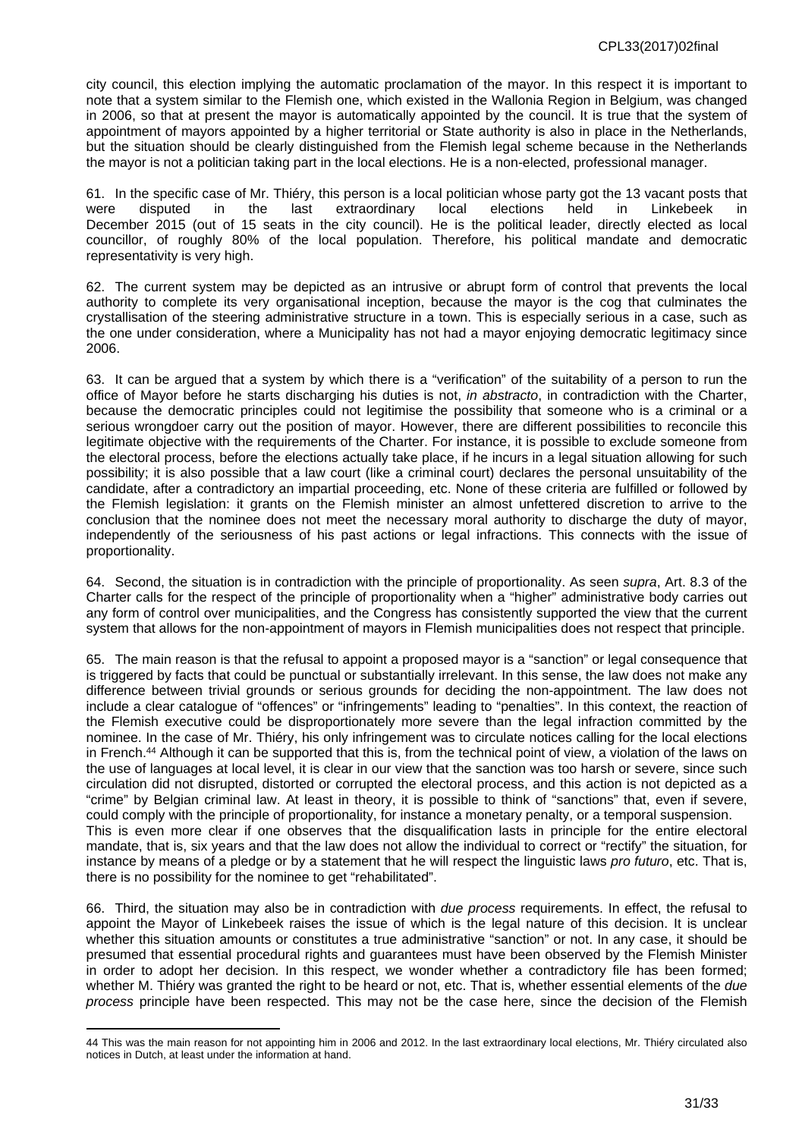city council, this election implying the automatic proclamation of the mayor. In this respect it is important to note that a system similar to the Flemish one, which existed in the Wallonia Region in Belgium, was changed in 2006, so that at present the mayor is automatically appointed by the council. It is true that the system of appointment of mayors appointed by a higher territorial or State authority is also in place in the Netherlands, but the situation should be clearly distinguished from the Flemish legal scheme because in the Netherlands the mayor is not a politician taking part in the local elections. He is a non-elected, professional manager.

61. In the specific case of Mr. Thiéry, this person is a local politician whose party got the 13 vacant posts that were disputed in the last extraordinary local elections held in Linkebeek in December 2015 (out of 15 seats in the city council). He is the political leader, directly elected as local councillor, of roughly 80% of the local population. Therefore, his political mandate and democratic representativity is very high.

62. The current system may be depicted as an intrusive or abrupt form of control that prevents the local authority to complete its very organisational inception, because the mayor is the cog that culminates the crystallisation of the steering administrative structure in a town. This is especially serious in a case, such as the one under consideration, where a Municipality has not had a mayor enjoying democratic legitimacy since 2006.

63. It can be argued that a system by which there is a "verification" of the suitability of a person to run the office of Mayor before he starts discharging his duties is not, *in abstracto*, in contradiction with the Charter, because the democratic principles could not legitimise the possibility that someone who is a criminal or a serious wrongdoer carry out the position of mayor. However, there are different possibilities to reconcile this legitimate objective with the requirements of the Charter. For instance, it is possible to exclude someone from the electoral process, before the elections actually take place, if he incurs in a legal situation allowing for such possibility; it is also possible that a law court (like a criminal court) declares the personal unsuitability of the candidate, after a contradictory an impartial proceeding, etc. None of these criteria are fulfilled or followed by the Flemish legislation: it grants on the Flemish minister an almost unfettered discretion to arrive to the conclusion that the nominee does not meet the necessary moral authority to discharge the duty of mayor, independently of the seriousness of his past actions or legal infractions. This connects with the issue of proportionality.

64. Second, the situation is in contradiction with the principle of proportionality. As seen *supra*, Art. 8.3 of the Charter calls for the respect of the principle of proportionality when a "higher" administrative body carries out any form of control over municipalities, and the Congress has consistently supported the view that the current system that allows for the non-appointment of mayors in Flemish municipalities does not respect that principle.

65. The main reason is that the refusal to appoint a proposed mayor is a "sanction" or legal consequence that is triggered by facts that could be punctual or substantially irrelevant. In this sense, the law does not make any difference between trivial grounds or serious grounds for deciding the non-appointment. The law does not include a clear catalogue of "offences" or "infringements" leading to "penalties". In this context, the reaction of the Flemish executive could be disproportionately more severe than the legal infraction committed by the nominee. In the case of Mr. Thiéry, his only infringement was to circulate notices calling for the local elections in French.<sup>44</sup> Although it can be supported that this is, from the technical point of view, a violation of the laws on the use of languages at local level, it is clear in our view that the sanction was too harsh or severe, since such circulation did not disrupted, distorted or corrupted the electoral process, and this action is not depicted as a "crime" by Belgian criminal law. At least in theory, it is possible to think of "sanctions" that, even if severe, could comply with the principle of proportionality, for instance a monetary penalty, or a temporal suspension. This is even more clear if one observes that the disqualification lasts in principle for the entire electoral mandate, that is, six years and that the law does not allow the individual to correct or "rectify" the situation, for instance by means of a pledge or by a statement that he will respect the linguistic laws *pro futuro*, etc. That is, there is no possibility for the nominee to get "rehabilitated".

66. Third, the situation may also be in contradiction with *due process* requirements. In effect, the refusal to appoint the Mayor of Linkebeek raises the issue of which is the legal nature of this decision. It is unclear whether this situation amounts or constitutes a true administrative "sanction" or not. In any case, it should be presumed that essential procedural rights and guarantees must have been observed by the Flemish Minister in order to adopt her decision. In this respect, we wonder whether a contradictory file has been formed; whether M. Thiéry was granted the right to be heard or not, etc. That is, whether essential elements of the *due process* principle have been respected. This may not be the case here, since the decision of the Flemish

<sup>44</sup> This was the main reason for not appointing him in 2006 and 2012. In the last extraordinary local elections, Mr. Thiéry circulated also notices in Dutch, at least under the information at hand.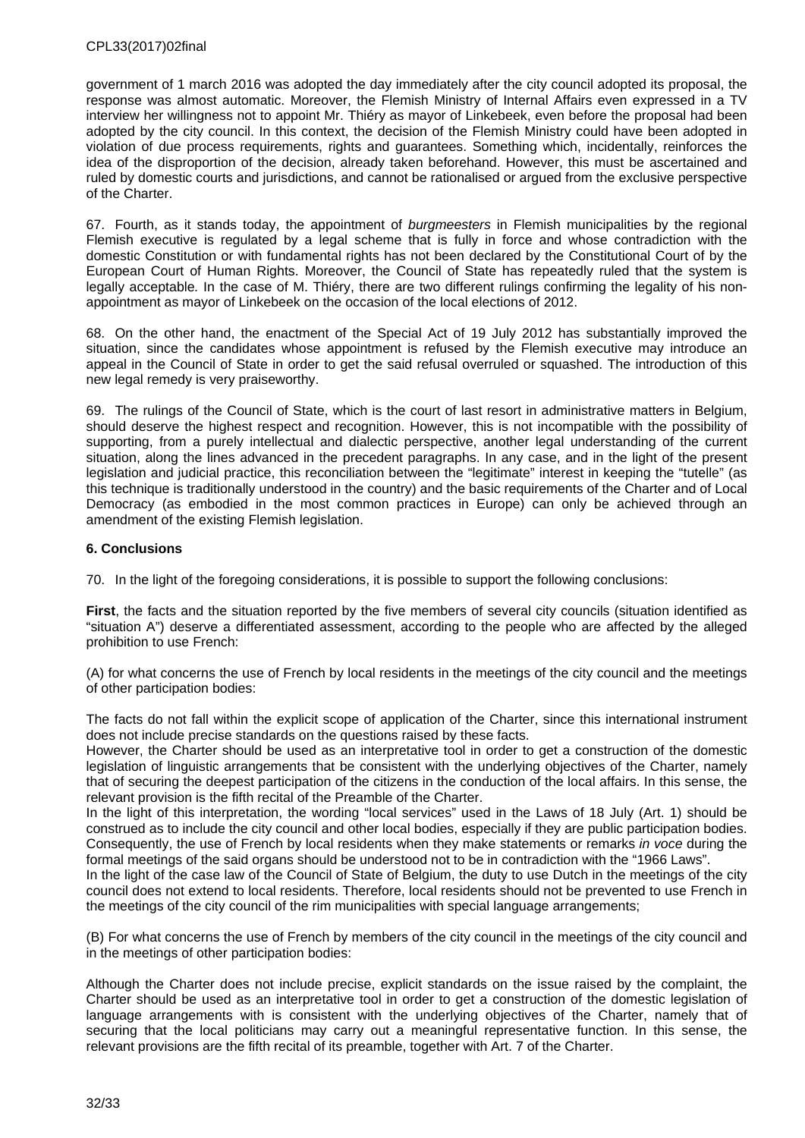government of 1 march 2016 was adopted the day immediately after the city council adopted its proposal, the response was almost automatic. Moreover, the Flemish Ministry of Internal Affairs even expressed in a TV interview her willingness not to appoint Mr. Thiéry as mayor of Linkebeek, even before the proposal had been adopted by the city council. In this context, the decision of the Flemish Ministry could have been adopted in violation of due process requirements, rights and guarantees. Something which, incidentally, reinforces the idea of the disproportion of the decision, already taken beforehand. However, this must be ascertained and ruled by domestic courts and jurisdictions, and cannot be rationalised or argued from the exclusive perspective of the Charter.

67. Fourth, as it stands today, the appointment of *burgmeesters* in Flemish municipalities by the regional Flemish executive is regulated by a legal scheme that is fully in force and whose contradiction with the domestic Constitution or with fundamental rights has not been declared by the Constitutional Court of by the European Court of Human Rights. Moreover, the Council of State has repeatedly ruled that the system is legally acceptable*.* In the case of M. Thiéry, there are two different rulings confirming the legality of his nonappointment as mayor of Linkebeek on the occasion of the local elections of 2012.

68. On the other hand, the enactment of the Special Act of 19 July 2012 has substantially improved the situation, since the candidates whose appointment is refused by the Flemish executive may introduce an appeal in the Council of State in order to get the said refusal overruled or squashed. The introduction of this new legal remedy is very praiseworthy.

69. The rulings of the Council of State, which is the court of last resort in administrative matters in Belgium, should deserve the highest respect and recognition. However, this is not incompatible with the possibility of supporting, from a purely intellectual and dialectic perspective, another legal understanding of the current situation, along the lines advanced in the precedent paragraphs. In any case, and in the light of the present legislation and judicial practice, this reconciliation between the "legitimate" interest in keeping the "tutelle" (as this technique is traditionally understood in the country) and the basic requirements of the Charter and of Local Democracy (as embodied in the most common practices in Europe) can only be achieved through an amendment of the existing Flemish legislation.

## <span id="page-31-0"></span>**6. Conclusions**

70. In the light of the foregoing considerations, it is possible to support the following conclusions:

**First**, the facts and the situation reported by the five members of several city councils (situation identified as "situation A") deserve a differentiated assessment, according to the people who are affected by the alleged prohibition to use French:

(A) for what concerns the use of French by local residents in the meetings of the city council and the meetings of other participation bodies:

The facts do not fall within the explicit scope of application of the Charter, since this international instrument does not include precise standards on the questions raised by these facts.

However, the Charter should be used as an interpretative tool in order to get a construction of the domestic legislation of linguistic arrangements that be consistent with the underlying objectives of the Charter, namely that of securing the deepest participation of the citizens in the conduction of the local affairs. In this sense, the relevant provision is the fifth recital of the Preamble of the Charter.

In the light of this interpretation, the wording "local services" used in the Laws of 18 July (Art. 1) should be construed as to include the city council and other local bodies, especially if they are public participation bodies. Consequently, the use of French by local residents when they make statements or remarks *in voce* during the formal meetings of the said organs should be understood not to be in contradiction with the "1966 Laws".

In the light of the case law of the Council of State of Belgium, the duty to use Dutch in the meetings of the city council does not extend to local residents. Therefore, local residents should not be prevented to use French in the meetings of the city council of the rim municipalities with special language arrangements;

(B) For what concerns the use of French by members of the city council in the meetings of the city council and in the meetings of other participation bodies:

Although the Charter does not include precise, explicit standards on the issue raised by the complaint, the Charter should be used as an interpretative tool in order to get a construction of the domestic legislation of language arrangements with is consistent with the underlying objectives of the Charter, namely that of securing that the local politicians may carry out a meaningful representative function. In this sense, the relevant provisions are the fifth recital of its preamble, together with Art. 7 of the Charter.